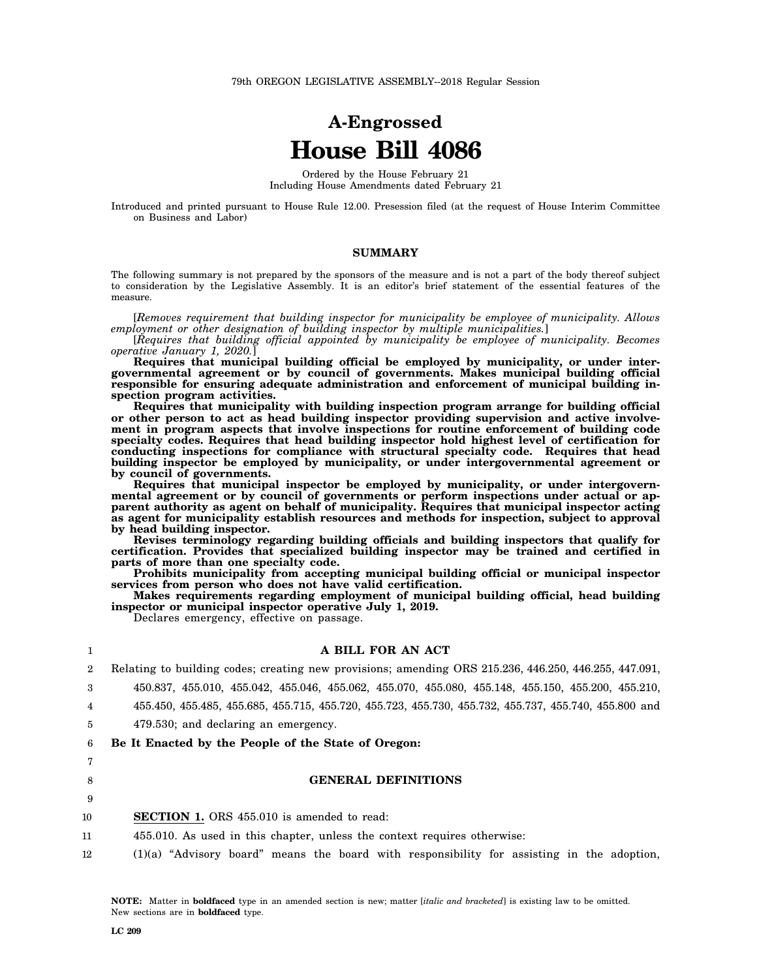# **A-Engrossed House Bill 4086**

Ordered by the House February 21 Including House Amendments dated February 21

Introduced and printed pursuant to House Rule 12.00. Presession filed (at the request of House Interim Committee on Business and Labor)

# **SUMMARY**

The following summary is not prepared by the sponsors of the measure and is not a part of the body thereof subject to consideration by the Legislative Assembly. It is an editor's brief statement of the essential features of the measure.

[*Removes requirement that building inspector for municipality be employee of municipality. Allows employment or other designation of building inspector by multiple municipalities.*]

[*Requires that building official appointed by municipality be employee of municipality. Becomes operative January 1, 2020.*]

**Requires that municipal building official be employed by municipality, or under intergovernmental agreement or by council of governments. Makes municipal building official responsible for ensuring adequate administration and enforcement of municipal building inspection program activities.**

**Requires that municipality with building inspection program arrange for building official or other person to act as head building inspector providing supervision and active involvement in program aspects that involve inspections for routine enforcement of building code specialty codes. Requires that head building inspector hold highest level of certification for conducting inspections for compliance with structural specialty code. Requires that head building inspector be employed by municipality, or under intergovernmental agreement or by council of governments.**

**Requires that municipal inspector be employed by municipality, or under intergovernmental agreement or by council of governments or perform inspections under actual or apparent authority as agent on behalf of municipality. Requires that municipal inspector acting as agent for municipality establish resources and methods for inspection, subject to approval by head building inspector.**

**Revises terminology regarding building officials and building inspectors that qualify for certification. Provides that specialized building inspector may be trained and certified in parts of more than one specialty code.**

**Prohibits municipality from accepting municipal building official or municipal inspector services from person who does not have valid certification.**

**Makes requirements regarding employment of municipal building official, head building inspector or municipal inspector operative July 1, 2019.**

Declares emergency, effective on passage.

# **A BILL FOR AN ACT**

2 3 Relating to building codes; creating new provisions; amending ORS 215.236, 446.250, 446.255, 447.091,

450.837, 455.010, 455.042, 455.046, 455.062, 455.070, 455.080, 455.148, 455.150, 455.200, 455.210,

4 455.450, 455.485, 455.685, 455.715, 455.720, 455.723, 455.730, 455.732, 455.737, 455.740, 455.800 and

5 479.530; and declaring an emergency.

6 **Be It Enacted by the People of the State of Oregon:**

7 8

9

1

#### **GENERAL DEFINITIONS**

10 **SECTION 1.** ORS 455.010 is amended to read:

- 11 455.010. As used in this chapter, unless the context requires otherwise:
- 12 (1)(a) "Advisory board" means the board with responsibility for assisting in the adoption,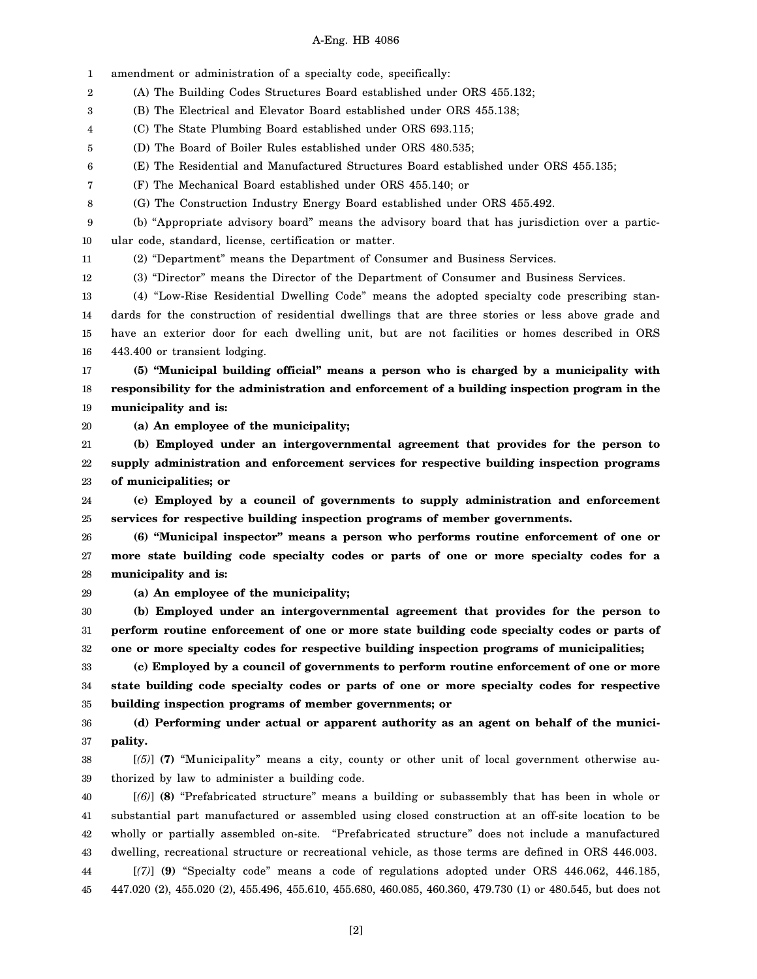1 2 3 4 5 6 7 8 9 10 11 12 13 14 15 16 17 18 19 20 21 22 23 24 25 26 27 28 29 30 31 32 33 34 35 36 37 38 39 40 41 42 43 amendment or administration of a specialty code, specifically: (A) The Building Codes Structures Board established under ORS 455.132; (B) The Electrical and Elevator Board established under ORS 455.138; (C) The State Plumbing Board established under ORS 693.115; (D) The Board of Boiler Rules established under ORS 480.535; (E) The Residential and Manufactured Structures Board established under ORS 455.135; (F) The Mechanical Board established under ORS 455.140; or (G) The Construction Industry Energy Board established under ORS 455.492. (b) "Appropriate advisory board" means the advisory board that has jurisdiction over a particular code, standard, license, certification or matter. (2) "Department" means the Department of Consumer and Business Services. (3) "Director" means the Director of the Department of Consumer and Business Services. (4) "Low-Rise Residential Dwelling Code" means the adopted specialty code prescribing standards for the construction of residential dwellings that are three stories or less above grade and have an exterior door for each dwelling unit, but are not facilities or homes described in ORS 443.400 or transient lodging. **(5) "Municipal building official" means a person who is charged by a municipality with responsibility for the administration and enforcement of a building inspection program in the municipality and is: (a) An employee of the municipality; (b) Employed under an intergovernmental agreement that provides for the person to supply administration and enforcement services for respective building inspection programs of municipalities; or (c) Employed by a council of governments to supply administration and enforcement services for respective building inspection programs of member governments. (6) "Municipal inspector" means a person who performs routine enforcement of one or more state building code specialty codes or parts of one or more specialty codes for a municipality and is: (a) An employee of the municipality; (b) Employed under an intergovernmental agreement that provides for the person to perform routine enforcement of one or more state building code specialty codes or parts of one or more specialty codes for respective building inspection programs of municipalities; (c) Employed by a council of governments to perform routine enforcement of one or more state building code specialty codes or parts of one or more specialty codes for respective building inspection programs of member governments; or (d) Performing under actual or apparent authority as an agent on behalf of the municipality.** [*(5)*] **(7)** "Municipality" means a city, county or other unit of local government otherwise authorized by law to administer a building code. [*(6)*] **(8)** "Prefabricated structure" means a building or subassembly that has been in whole or substantial part manufactured or assembled using closed construction at an off-site location to be wholly or partially assembled on-site. "Prefabricated structure" does not include a manufactured dwelling, recreational structure or recreational vehicle, as those terms are defined in ORS 446.003.

44 45 [*(7)*] **(9)** "Specialty code" means a code of regulations adopted under ORS 446.062, 446.185, 447.020 (2), 455.020 (2), 455.496, 455.610, 455.680, 460.085, 460.360, 479.730 (1) or 480.545, but does not

[2]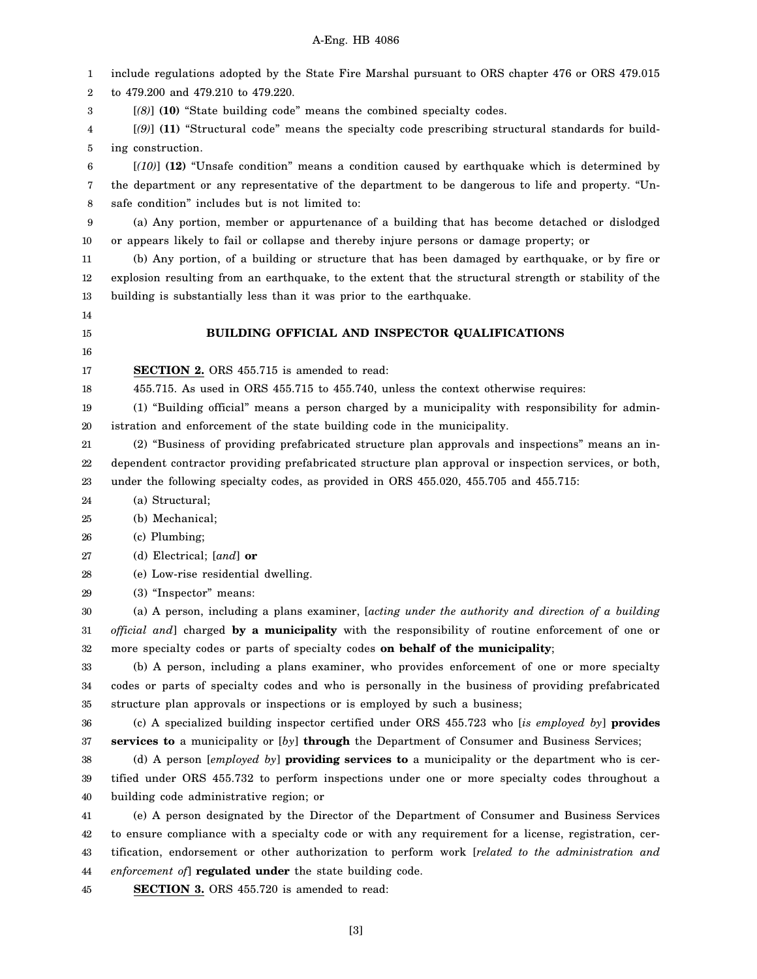1 2 3 4 5 6 7 8 9 10 11 12 13 14 15 16 17 18 19 20 21 22 23 24 25 26 27 28 29 30 31 32 33 34 35 36 37 38 39 40 41 42 43 44 45 include regulations adopted by the State Fire Marshal pursuant to ORS chapter 476 or ORS 479.015 to 479.200 and 479.210 to 479.220. [*(8)*] **(10)** "State building code" means the combined specialty codes. [*(9)*] **(11)** "Structural code" means the specialty code prescribing structural standards for building construction. [*(10)*] **(12)** "Unsafe condition" means a condition caused by earthquake which is determined by the department or any representative of the department to be dangerous to life and property. "Unsafe condition" includes but is not limited to: (a) Any portion, member or appurtenance of a building that has become detached or dislodged or appears likely to fail or collapse and thereby injure persons or damage property; or (b) Any portion, of a building or structure that has been damaged by earthquake, or by fire or explosion resulting from an earthquake, to the extent that the structural strength or stability of the building is substantially less than it was prior to the earthquake. **BUILDING OFFICIAL AND INSPECTOR QUALIFICATIONS SECTION 2.** ORS 455.715 is amended to read: 455.715. As used in ORS 455.715 to 455.740, unless the context otherwise requires: (1) "Building official" means a person charged by a municipality with responsibility for administration and enforcement of the state building code in the municipality. (2) "Business of providing prefabricated structure plan approvals and inspections" means an independent contractor providing prefabricated structure plan approval or inspection services, or both, under the following specialty codes, as provided in ORS 455.020, 455.705 and 455.715: (a) Structural; (b) Mechanical; (c) Plumbing; (d) Electrical; [*and*] **or** (e) Low-rise residential dwelling. (3) "Inspector" means: (a) A person, including a plans examiner, [*acting under the authority and direction of a building official and*] charged **by a municipality** with the responsibility of routine enforcement of one or more specialty codes or parts of specialty codes **on behalf of the municipality**; (b) A person, including a plans examiner, who provides enforcement of one or more specialty codes or parts of specialty codes and who is personally in the business of providing prefabricated structure plan approvals or inspections or is employed by such a business; (c) A specialized building inspector certified under ORS 455.723 who [*is employed by*] **provides services to** a municipality or [*by*] **through** the Department of Consumer and Business Services; (d) A person [*employed by*] **providing services to** a municipality or the department who is certified under ORS 455.732 to perform inspections under one or more specialty codes throughout a building code administrative region; or (e) A person designated by the Director of the Department of Consumer and Business Services to ensure compliance with a specialty code or with any requirement for a license, registration, certification, endorsement or other authorization to perform work [*related to the administration and enforcement of*] **regulated under** the state building code. **SECTION 3.** ORS 455.720 is amended to read: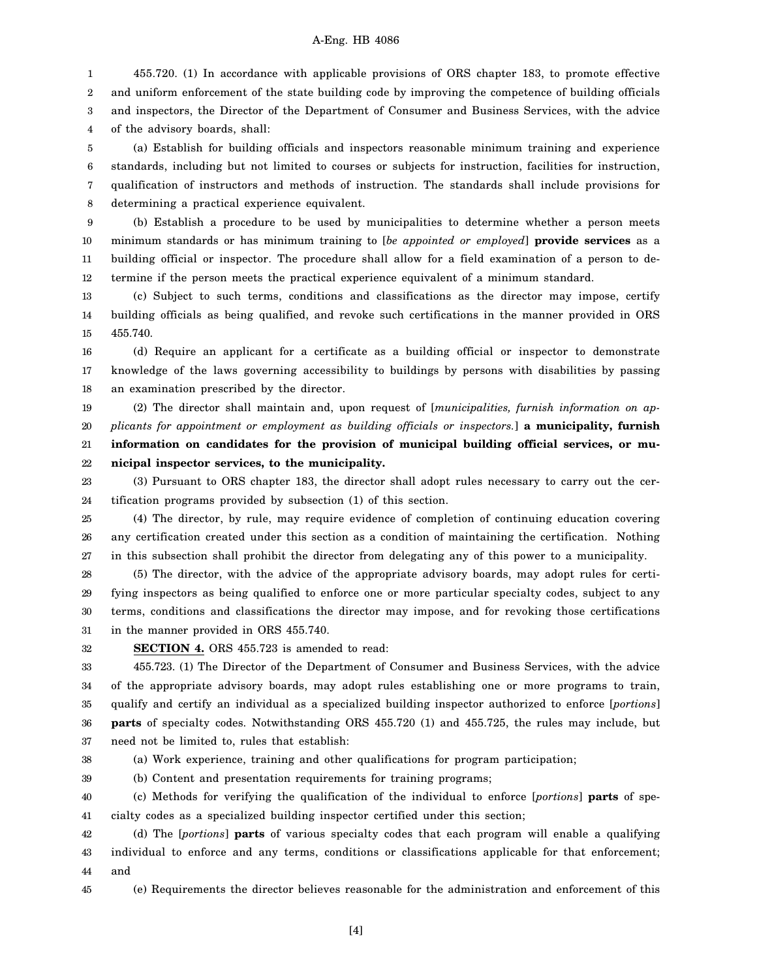1 2 3 4 455.720. (1) In accordance with applicable provisions of ORS chapter 183, to promote effective and uniform enforcement of the state building code by improving the competence of building officials and inspectors, the Director of the Department of Consumer and Business Services, with the advice of the advisory boards, shall:

5 6 7 8 (a) Establish for building officials and inspectors reasonable minimum training and experience standards, including but not limited to courses or subjects for instruction, facilities for instruction, qualification of instructors and methods of instruction. The standards shall include provisions for determining a practical experience equivalent.

9 10 11 12 (b) Establish a procedure to be used by municipalities to determine whether a person meets minimum standards or has minimum training to [*be appointed or employed*] **provide services** as a building official or inspector. The procedure shall allow for a field examination of a person to determine if the person meets the practical experience equivalent of a minimum standard.

13 14 15 (c) Subject to such terms, conditions and classifications as the director may impose, certify building officials as being qualified, and revoke such certifications in the manner provided in ORS 455.740.

16 17 18 (d) Require an applicant for a certificate as a building official or inspector to demonstrate knowledge of the laws governing accessibility to buildings by persons with disabilities by passing an examination prescribed by the director.

19 20 21 22 (2) The director shall maintain and, upon request of [*municipalities, furnish information on applicants for appointment or employment as building officials or inspectors.*] **a municipality, furnish information on candidates for the provision of municipal building official services, or municipal inspector services, to the municipality.**

23 24 (3) Pursuant to ORS chapter 183, the director shall adopt rules necessary to carry out the certification programs provided by subsection (1) of this section.

25 26 27 (4) The director, by rule, may require evidence of completion of continuing education covering any certification created under this section as a condition of maintaining the certification. Nothing in this subsection shall prohibit the director from delegating any of this power to a municipality.

28 29 30 31 (5) The director, with the advice of the appropriate advisory boards, may adopt rules for certifying inspectors as being qualified to enforce one or more particular specialty codes, subject to any terms, conditions and classifications the director may impose, and for revoking those certifications in the manner provided in ORS 455.740.

32

**SECTION 4.** ORS 455.723 is amended to read:

33 34 35 36 37 455.723. (1) The Director of the Department of Consumer and Business Services, with the advice of the appropriate advisory boards, may adopt rules establishing one or more programs to train, qualify and certify an individual as a specialized building inspector authorized to enforce [*portions*] **parts** of specialty codes. Notwithstanding ORS 455.720 (1) and 455.725, the rules may include, but need not be limited to, rules that establish:

38

(a) Work experience, training and other qualifications for program participation;

39 (b) Content and presentation requirements for training programs;

40 41 (c) Methods for verifying the qualification of the individual to enforce [*portions*] **parts** of specialty codes as a specialized building inspector certified under this section;

42 43 44 (d) The [*portions*] **parts** of various specialty codes that each program will enable a qualifying individual to enforce and any terms, conditions or classifications applicable for that enforcement; and

45 (e) Requirements the director believes reasonable for the administration and enforcement of this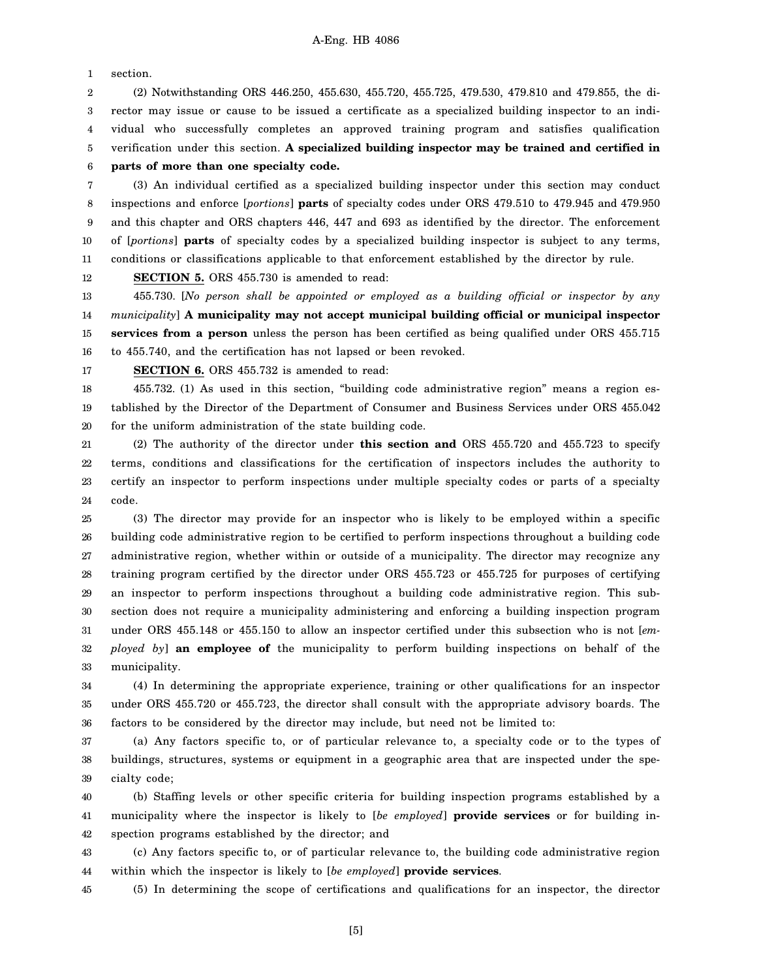1 section.

2 3 4 5 6 (2) Notwithstanding ORS 446.250, 455.630, 455.720, 455.725, 479.530, 479.810 and 479.855, the director may issue or cause to be issued a certificate as a specialized building inspector to an individual who successfully completes an approved training program and satisfies qualification verification under this section. **A specialized building inspector may be trained and certified in parts of more than one specialty code.**

7 8 9 10 11 (3) An individual certified as a specialized building inspector under this section may conduct inspections and enforce [*portions*] **parts** of specialty codes under ORS 479.510 to 479.945 and 479.950 and this chapter and ORS chapters 446, 447 and 693 as identified by the director. The enforcement of [*portions*] **parts** of specialty codes by a specialized building inspector is subject to any terms, conditions or classifications applicable to that enforcement established by the director by rule.

12 **SECTION 5.** ORS 455.730 is amended to read:

13 14 15 16 455.730. [*No person shall be appointed or employed as a building official or inspector by any municipality*] **A municipality may not accept municipal building official or municipal inspector services from a person** unless the person has been certified as being qualified under ORS 455.715 to 455.740, and the certification has not lapsed or been revoked.

17

**SECTION 6.** ORS 455.732 is amended to read:

18 19 20 455.732. (1) As used in this section, "building code administrative region" means a region established by the Director of the Department of Consumer and Business Services under ORS 455.042 for the uniform administration of the state building code.

21 22 23 24 (2) The authority of the director under **this section and** ORS 455.720 and 455.723 to specify terms, conditions and classifications for the certification of inspectors includes the authority to certify an inspector to perform inspections under multiple specialty codes or parts of a specialty code.

25 26 27 28 29 30 31 32 33 (3) The director may provide for an inspector who is likely to be employed within a specific building code administrative region to be certified to perform inspections throughout a building code administrative region, whether within or outside of a municipality. The director may recognize any training program certified by the director under ORS 455.723 or 455.725 for purposes of certifying an inspector to perform inspections throughout a building code administrative region. This subsection does not require a municipality administering and enforcing a building inspection program under ORS 455.148 or 455.150 to allow an inspector certified under this subsection who is not [*employed by*] **an employee of** the municipality to perform building inspections on behalf of the municipality.

34 35 36 (4) In determining the appropriate experience, training or other qualifications for an inspector under ORS 455.720 or 455.723, the director shall consult with the appropriate advisory boards. The factors to be considered by the director may include, but need not be limited to:

37 38 39 (a) Any factors specific to, or of particular relevance to, a specialty code or to the types of buildings, structures, systems or equipment in a geographic area that are inspected under the specialty code;

40 41 42 (b) Staffing levels or other specific criteria for building inspection programs established by a municipality where the inspector is likely to [*be employed*] **provide services** or for building inspection programs established by the director; and

43 44 (c) Any factors specific to, or of particular relevance to, the building code administrative region within which the inspector is likely to [*be employed*] **provide services**.

45 (5) In determining the scope of certifications and qualifications for an inspector, the director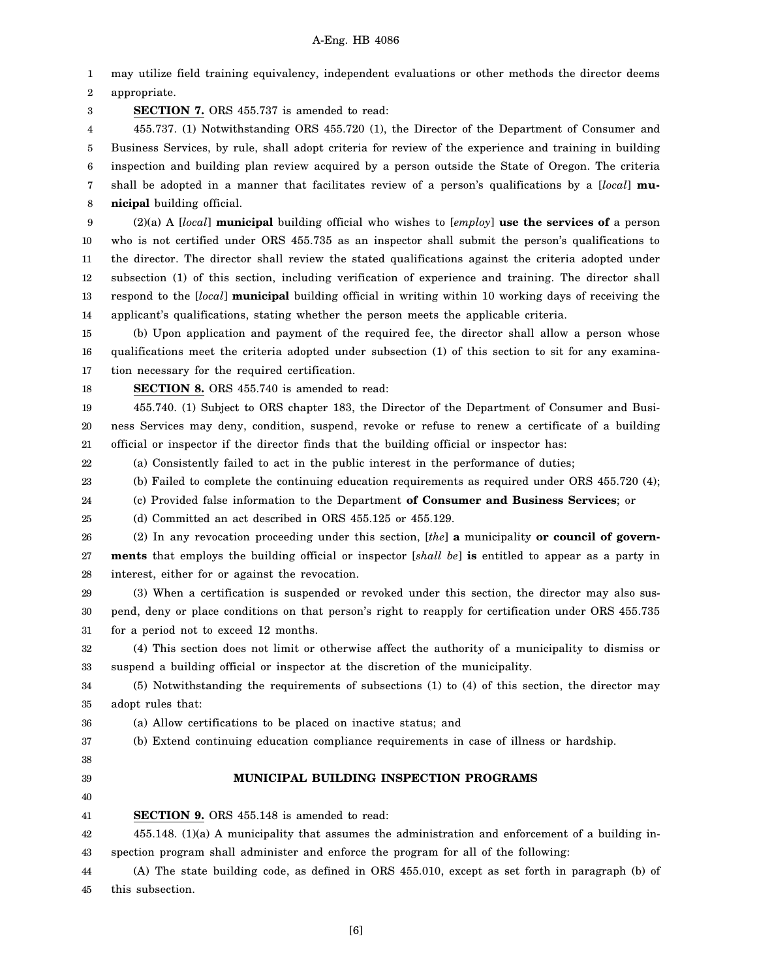1 2 may utilize field training equivalency, independent evaluations or other methods the director deems appropriate.

3 **SECTION 7.** ORS 455.737 is amended to read:

4 5 6 7 8 455.737. (1) Notwithstanding ORS 455.720 (1), the Director of the Department of Consumer and Business Services, by rule, shall adopt criteria for review of the experience and training in building inspection and building plan review acquired by a person outside the State of Oregon. The criteria shall be adopted in a manner that facilitates review of a person's qualifications by a [*local*] **municipal** building official.

9 10 11 12 13 14 (2)(a) A [*local*] **municipal** building official who wishes to [*employ*] **use the services of** a person who is not certified under ORS 455.735 as an inspector shall submit the person's qualifications to the director. The director shall review the stated qualifications against the criteria adopted under subsection (1) of this section, including verification of experience and training. The director shall respond to the [*local*] **municipal** building official in writing within 10 working days of receiving the applicant's qualifications, stating whether the person meets the applicable criteria.

15 16 17 (b) Upon application and payment of the required fee, the director shall allow a person whose qualifications meet the criteria adopted under subsection (1) of this section to sit for any examination necessary for the required certification.

18 **SECTION 8.** ORS 455.740 is amended to read:

19 20 21 455.740. (1) Subject to ORS chapter 183, the Director of the Department of Consumer and Business Services may deny, condition, suspend, revoke or refuse to renew a certificate of a building official or inspector if the director finds that the building official or inspector has:

22 (a) Consistently failed to act in the public interest in the performance of duties;

23 (b) Failed to complete the continuing education requirements as required under ORS 455.720 (4);

24 (c) Provided false information to the Department **of Consumer and Business Services**; or

25 (d) Committed an act described in ORS 455.125 or 455.129.

26 27 28 (2) In any revocation proceeding under this section, [*the*] **a** municipality **or council of governments** that employs the building official or inspector [*shall be*] **is** entitled to appear as a party in interest, either for or against the revocation.

29 30 31 (3) When a certification is suspended or revoked under this section, the director may also suspend, deny or place conditions on that person's right to reapply for certification under ORS 455.735 for a period not to exceed 12 months.

32 33 (4) This section does not limit or otherwise affect the authority of a municipality to dismiss or suspend a building official or inspector at the discretion of the municipality.

34 35 (5) Notwithstanding the requirements of subsections (1) to (4) of this section, the director may adopt rules that:

36

37 (a) Allow certifications to be placed on inactive status; and (b) Extend continuing education compliance requirements in case of illness or hardship.

- 38
- 39

**MUNICIPAL BUILDING INSPECTION PROGRAMS**

40

41

**SECTION 9.** ORS 455.148 is amended to read:

42 43 455.148. (1)(a) A municipality that assumes the administration and enforcement of a building inspection program shall administer and enforce the program for all of the following:

44 45 (A) The state building code, as defined in ORS 455.010, except as set forth in paragraph (b) of this subsection.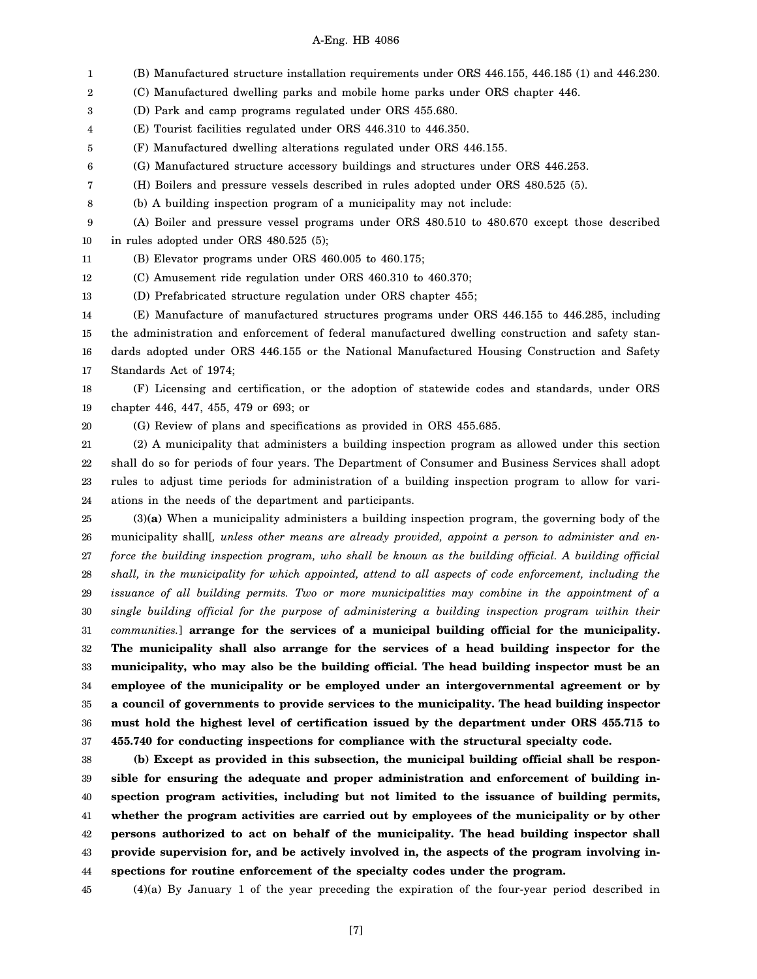1 2 3 4 5 6 7 8 9 10 11 12 13 14 15 16 17 18 19 20 21 22 23 24 (B) Manufactured structure installation requirements under ORS 446.155, 446.185 (1) and 446.230. (C) Manufactured dwelling parks and mobile home parks under ORS chapter 446. (D) Park and camp programs regulated under ORS 455.680. (E) Tourist facilities regulated under ORS 446.310 to 446.350. (F) Manufactured dwelling alterations regulated under ORS 446.155. (G) Manufactured structure accessory buildings and structures under ORS 446.253. (H) Boilers and pressure vessels described in rules adopted under ORS 480.525 (5). (b) A building inspection program of a municipality may not include: (A) Boiler and pressure vessel programs under ORS 480.510 to 480.670 except those described in rules adopted under ORS 480.525 (5); (B) Elevator programs under ORS 460.005 to 460.175; (C) Amusement ride regulation under ORS 460.310 to 460.370; (D) Prefabricated structure regulation under ORS chapter 455; (E) Manufacture of manufactured structures programs under ORS 446.155 to 446.285, including the administration and enforcement of federal manufactured dwelling construction and safety standards adopted under ORS 446.155 or the National Manufactured Housing Construction and Safety Standards Act of 1974; (F) Licensing and certification, or the adoption of statewide codes and standards, under ORS chapter 446, 447, 455, 479 or 693; or (G) Review of plans and specifications as provided in ORS 455.685. (2) A municipality that administers a building inspection program as allowed under this section shall do so for periods of four years. The Department of Consumer and Business Services shall adopt rules to adjust time periods for administration of a building inspection program to allow for variations in the needs of the department and participants.

25 26 27 28 29 30 31 32 33 34 35 36 37 (3)**(a)** When a municipality administers a building inspection program, the governing body of the municipality shall[*, unless other means are already provided, appoint a person to administer and enforce the building inspection program, who shall be known as the building official. A building official shall, in the municipality for which appointed, attend to all aspects of code enforcement, including the issuance of all building permits. Two or more municipalities may combine in the appointment of a single building official for the purpose of administering a building inspection program within their communities.*] **arrange for the services of a municipal building official for the municipality. The municipality shall also arrange for the services of a head building inspector for the municipality, who may also be the building official. The head building inspector must be an employee of the municipality or be employed under an intergovernmental agreement or by a council of governments to provide services to the municipality. The head building inspector must hold the highest level of certification issued by the department under ORS 455.715 to 455.740 for conducting inspections for compliance with the structural specialty code.**

38 39 40 41 42 43 44 **(b) Except as provided in this subsection, the municipal building official shall be responsible for ensuring the adequate and proper administration and enforcement of building inspection program activities, including but not limited to the issuance of building permits, whether the program activities are carried out by employees of the municipality or by other persons authorized to act on behalf of the municipality. The head building inspector shall provide supervision for, and be actively involved in, the aspects of the program involving inspections for routine enforcement of the specialty codes under the program.**

45 (4)(a) By January 1 of the year preceding the expiration of the four-year period described in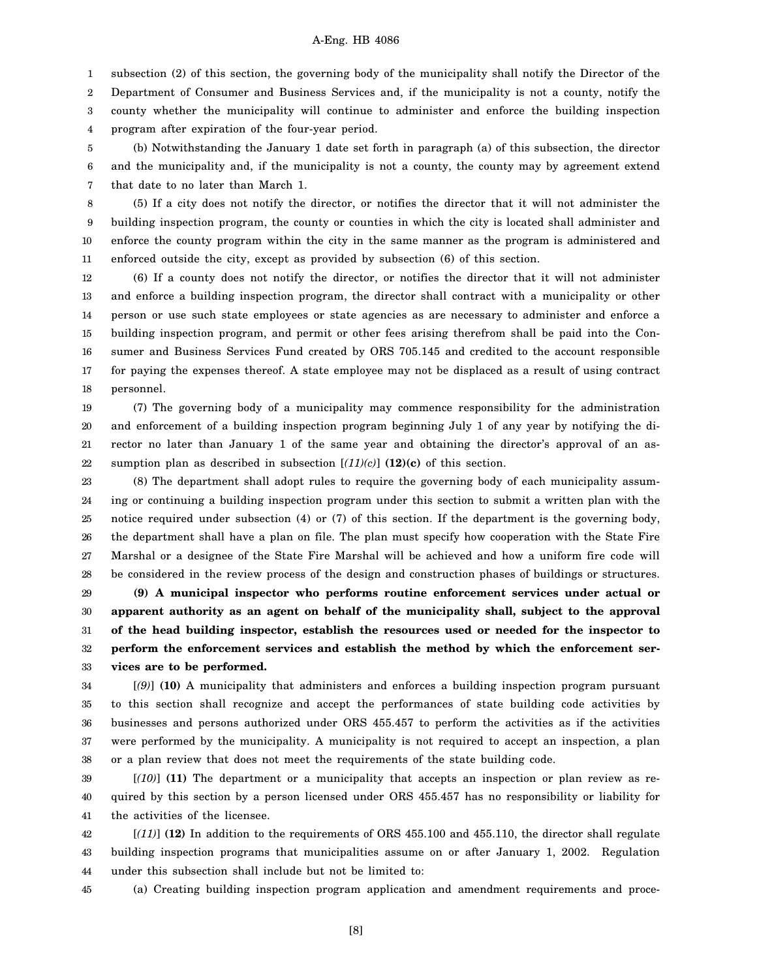1 subsection (2) of this section, the governing body of the municipality shall notify the Director of the

2 3 4 Department of Consumer and Business Services and, if the municipality is not a county, notify the county whether the municipality will continue to administer and enforce the building inspection program after expiration of the four-year period.

5 6 7 (b) Notwithstanding the January 1 date set forth in paragraph (a) of this subsection, the director and the municipality and, if the municipality is not a county, the county may by agreement extend that date to no later than March 1.

8 9 10 11 (5) If a city does not notify the director, or notifies the director that it will not administer the building inspection program, the county or counties in which the city is located shall administer and enforce the county program within the city in the same manner as the program is administered and enforced outside the city, except as provided by subsection (6) of this section.

12 13 14 15 16 17 18 (6) If a county does not notify the director, or notifies the director that it will not administer and enforce a building inspection program, the director shall contract with a municipality or other person or use such state employees or state agencies as are necessary to administer and enforce a building inspection program, and permit or other fees arising therefrom shall be paid into the Consumer and Business Services Fund created by ORS 705.145 and credited to the account responsible for paying the expenses thereof. A state employee may not be displaced as a result of using contract personnel.

19 20 21 22 (7) The governing body of a municipality may commence responsibility for the administration and enforcement of a building inspection program beginning July 1 of any year by notifying the director no later than January 1 of the same year and obtaining the director's approval of an assumption plan as described in subsection  $[(11)(c)]$  (12)(c) of this section.

23 24 25 26 27 28 (8) The department shall adopt rules to require the governing body of each municipality assuming or continuing a building inspection program under this section to submit a written plan with the notice required under subsection (4) or (7) of this section. If the department is the governing body, the department shall have a plan on file. The plan must specify how cooperation with the State Fire Marshal or a designee of the State Fire Marshal will be achieved and how a uniform fire code will be considered in the review process of the design and construction phases of buildings or structures.

29 30 31 32 33 **(9) A municipal inspector who performs routine enforcement services under actual or apparent authority as an agent on behalf of the municipality shall, subject to the approval of the head building inspector, establish the resources used or needed for the inspector to perform the enforcement services and establish the method by which the enforcement services are to be performed.**

34 35 36 37 38 [*(9)*] **(10)** A municipality that administers and enforces a building inspection program pursuant to this section shall recognize and accept the performances of state building code activities by businesses and persons authorized under ORS 455.457 to perform the activities as if the activities were performed by the municipality. A municipality is not required to accept an inspection, a plan or a plan review that does not meet the requirements of the state building code.

39 40 41 [*(10)*] **(11)** The department or a municipality that accepts an inspection or plan review as required by this section by a person licensed under ORS 455.457 has no responsibility or liability for the activities of the licensee.

42 43 44 [*(11)*] **(12)** In addition to the requirements of ORS 455.100 and 455.110, the director shall regulate building inspection programs that municipalities assume on or after January 1, 2002. Regulation under this subsection shall include but not be limited to:

45 (a) Creating building inspection program application and amendment requirements and proce-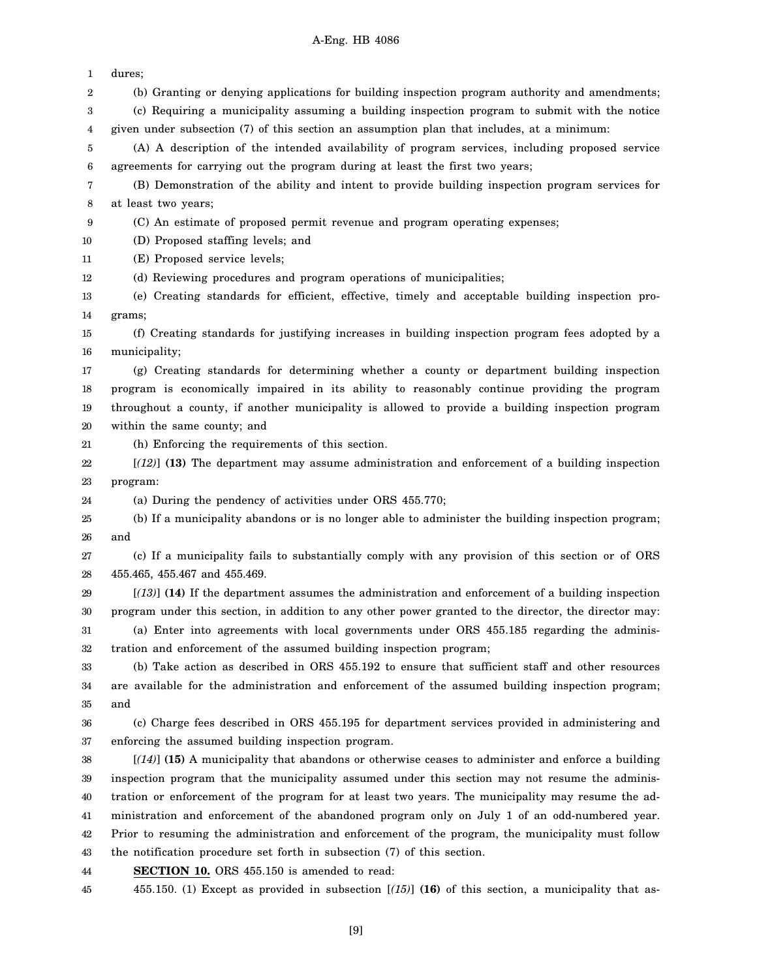| 1      | dures;                                                                                                |
|--------|-------------------------------------------------------------------------------------------------------|
| 2      | (b) Granting or denying applications for building inspection program authority and amendments;        |
| 3      | (c) Requiring a municipality assuming a building inspection program to submit with the notice         |
| 4      | given under subsection (7) of this section an assumption plan that includes, at a minimum:            |
| 5      | (A) A description of the intended availability of program services, including proposed service        |
| 6      | agreements for carrying out the program during at least the first two years;                          |
| 7      | (B) Demonstration of the ability and intent to provide building inspection program services for       |
| 8      | at least two years;                                                                                   |
| 9      | (C) An estimate of proposed permit revenue and program operating expenses;                            |
| 10     | (D) Proposed staffing levels; and                                                                     |
| 11     | (E) Proposed service levels;                                                                          |
| 12     | (d) Reviewing procedures and program operations of municipalities;                                    |
| 13     | (e) Creating standards for efficient, effective, timely and acceptable building inspection pro-       |
| 14     | grams;                                                                                                |
| 15     | (f) Creating standards for justifying increases in building inspection program fees adopted by a      |
| 16     | municipality;                                                                                         |
| 17     | (g) Creating standards for determining whether a county or department building inspection             |
| 18     | program is economically impaired in its ability to reasonably continue providing the program          |
| 19     | throughout a county, if another municipality is allowed to provide a building inspection program      |
| 20     | within the same county; and                                                                           |
| 21     | (h) Enforcing the requirements of this section.                                                       |
| 22     | $[(12)]$ (13) The department may assume administration and enforcement of a building inspection       |
| 23     | program:                                                                                              |
| 24     | (a) During the pendency of activities under ORS 455.770;                                              |
| 25     | (b) If a municipality abandons or is no longer able to administer the building inspection program;    |
| 26     | and                                                                                                   |
| 27     | (c) If a municipality fails to substantially comply with any provision of this section or of ORS      |
| 28     | 455.465, 455.467 and 455.469.                                                                         |
| 29     | $[(13)]$ (14) If the department assumes the administration and enforcement of a building inspection   |
| 30     | program under this section, in addition to any other power granted to the director, the director may: |
| 31     | (a) Enter into agreements with local governments under ORS 455.185 regarding the adminis-             |
| $32\,$ | tration and enforcement of the assumed building inspection program;                                   |
| 33     | (b) Take action as described in ORS 455.192 to ensure that sufficient staff and other resources       |
| 34     | are available for the administration and enforcement of the assumed building inspection program;      |
| 35     | and                                                                                                   |
| 36     | (c) Charge fees described in ORS 455.195 for department services provided in administering and        |
| 37     | enforcing the assumed building inspection program.                                                    |
| 38     | $[(14)]$ (15) A municipality that abandons or otherwise ceases to administer and enforce a building   |
| 39     | inspection program that the municipality assumed under this section may not resume the adminis-       |
| 40     | tration or enforcement of the program for at least two years. The municipality may resume the ad-     |
| 41     | ministration and enforcement of the abandoned program only on July 1 of an odd-numbered year.         |
| 42     | Prior to resuming the administration and enforcement of the program, the municipality must follow     |
| 43     | the notification procedure set forth in subsection (7) of this section.                               |
| 44     | <b>SECTION 10.</b> ORS 455.150 is amended to read:                                                    |
| 45     | 455.150. (1) Except as provided in subsection $[(15)]$ (16) of this section, a municipality that as-  |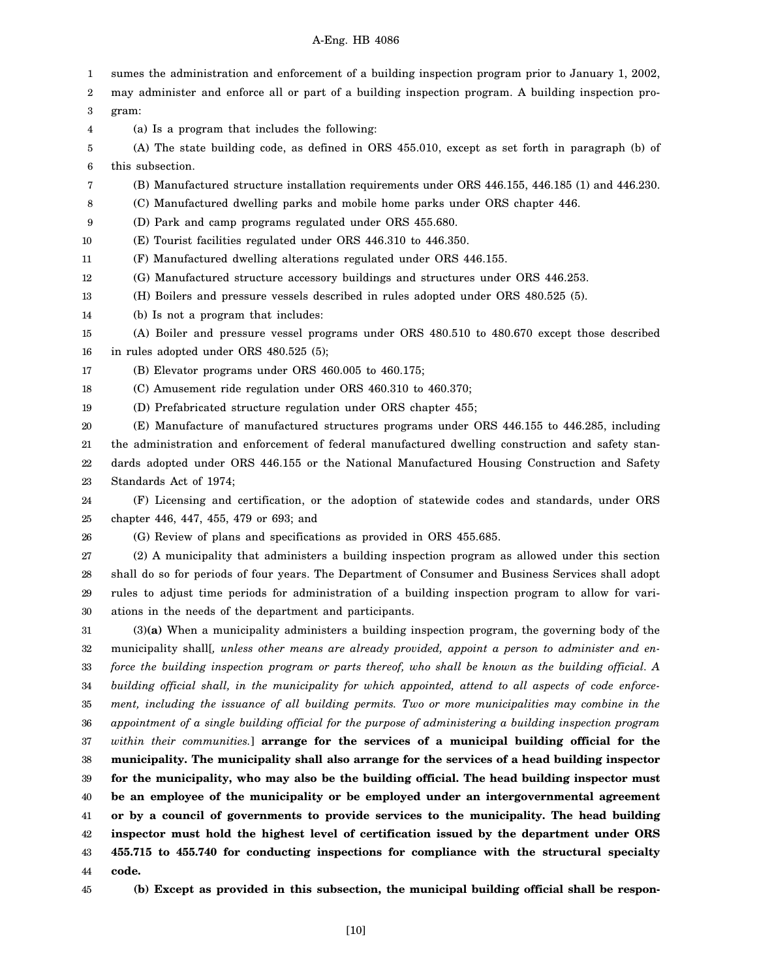1 2 3 4 5 6 7 8 9 10 11 12 13 14 15 16 17 18 19 20 21 22 23 24 25 26 27 28 29 30 31 32 33 34 35 36 37 38 39 sumes the administration and enforcement of a building inspection program prior to January 1, 2002, may administer and enforce all or part of a building inspection program. A building inspection program: (a) Is a program that includes the following: (A) The state building code, as defined in ORS 455.010, except as set forth in paragraph (b) of this subsection. (B) Manufactured structure installation requirements under ORS 446.155, 446.185 (1) and 446.230. (C) Manufactured dwelling parks and mobile home parks under ORS chapter 446. (D) Park and camp programs regulated under ORS 455.680. (E) Tourist facilities regulated under ORS 446.310 to 446.350. (F) Manufactured dwelling alterations regulated under ORS 446.155. (G) Manufactured structure accessory buildings and structures under ORS 446.253. (H) Boilers and pressure vessels described in rules adopted under ORS 480.525 (5). (b) Is not a program that includes: (A) Boiler and pressure vessel programs under ORS 480.510 to 480.670 except those described in rules adopted under ORS 480.525 (5); (B) Elevator programs under ORS 460.005 to 460.175; (C) Amusement ride regulation under ORS 460.310 to 460.370; (D) Prefabricated structure regulation under ORS chapter 455; (E) Manufacture of manufactured structures programs under ORS 446.155 to 446.285, including the administration and enforcement of federal manufactured dwelling construction and safety standards adopted under ORS 446.155 or the National Manufactured Housing Construction and Safety Standards Act of 1974; (F) Licensing and certification, or the adoption of statewide codes and standards, under ORS chapter 446, 447, 455, 479 or 693; and (G) Review of plans and specifications as provided in ORS 455.685. (2) A municipality that administers a building inspection program as allowed under this section shall do so for periods of four years. The Department of Consumer and Business Services shall adopt rules to adjust time periods for administration of a building inspection program to allow for variations in the needs of the department and participants. (3)**(a)** When a municipality administers a building inspection program, the governing body of the municipality shall[*, unless other means are already provided, appoint a person to administer and enforce the building inspection program or parts thereof, who shall be known as the building official. A building official shall, in the municipality for which appointed, attend to all aspects of code enforcement, including the issuance of all building permits. Two or more municipalities may combine in the appointment of a single building official for the purpose of administering a building inspection program within their communities.*] **arrange for the services of a municipal building official for the municipality. The municipality shall also arrange for the services of a head building inspector for the municipality, who may also be the building official. The head building inspector must**

40 41 42 43 44 **be an employee of the municipality or be employed under an intergovernmental agreement or by a council of governments to provide services to the municipality. The head building inspector must hold the highest level of certification issued by the department under ORS 455.715 to 455.740 for conducting inspections for compliance with the structural specialty code.**

45

**(b) Except as provided in this subsection, the municipal building official shall be respon-**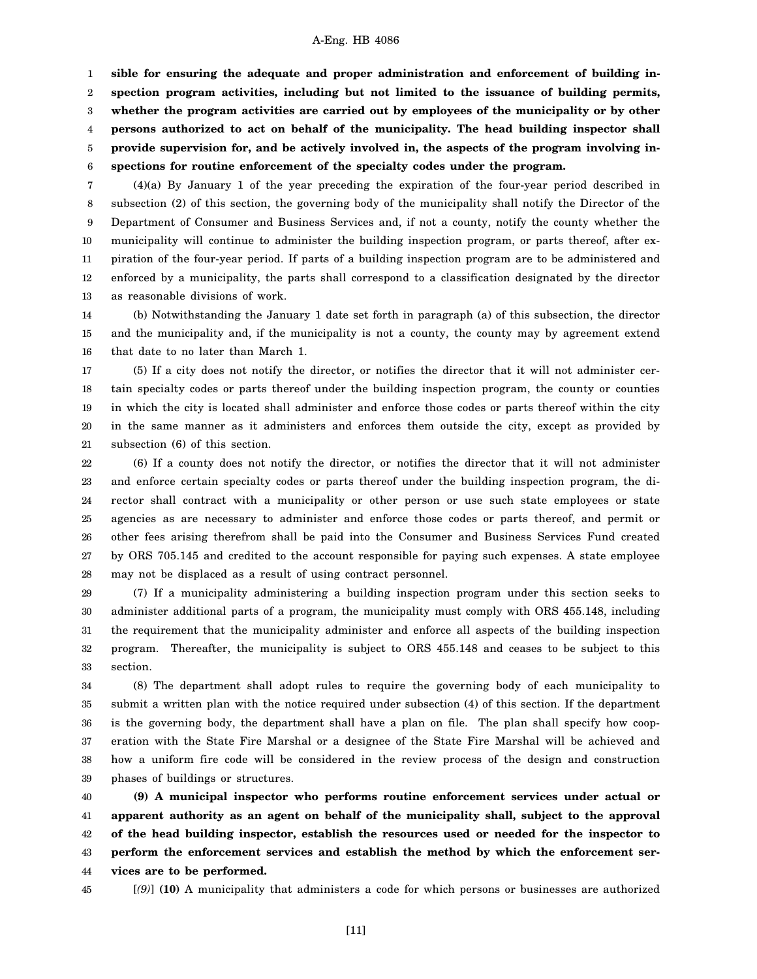1 2 3 4 5 6 **sible for ensuring the adequate and proper administration and enforcement of building inspection program activities, including but not limited to the issuance of building permits, whether the program activities are carried out by employees of the municipality or by other persons authorized to act on behalf of the municipality. The head building inspector shall provide supervision for, and be actively involved in, the aspects of the program involving inspections for routine enforcement of the specialty codes under the program.**

7 8 9 10 11 12 13 (4)(a) By January 1 of the year preceding the expiration of the four-year period described in subsection (2) of this section, the governing body of the municipality shall notify the Director of the Department of Consumer and Business Services and, if not a county, notify the county whether the municipality will continue to administer the building inspection program, or parts thereof, after expiration of the four-year period. If parts of a building inspection program are to be administered and enforced by a municipality, the parts shall correspond to a classification designated by the director as reasonable divisions of work.

14 15 16 (b) Notwithstanding the January 1 date set forth in paragraph (a) of this subsection, the director and the municipality and, if the municipality is not a county, the county may by agreement extend that date to no later than March 1.

17 18 19 20 21 (5) If a city does not notify the director, or notifies the director that it will not administer certain specialty codes or parts thereof under the building inspection program, the county or counties in which the city is located shall administer and enforce those codes or parts thereof within the city in the same manner as it administers and enforces them outside the city, except as provided by subsection (6) of this section.

22 23 24 25 26 27 28 (6) If a county does not notify the director, or notifies the director that it will not administer and enforce certain specialty codes or parts thereof under the building inspection program, the director shall contract with a municipality or other person or use such state employees or state agencies as are necessary to administer and enforce those codes or parts thereof, and permit or other fees arising therefrom shall be paid into the Consumer and Business Services Fund created by ORS 705.145 and credited to the account responsible for paying such expenses. A state employee may not be displaced as a result of using contract personnel.

29 30 31 32 33 (7) If a municipality administering a building inspection program under this section seeks to administer additional parts of a program, the municipality must comply with ORS 455.148, including the requirement that the municipality administer and enforce all aspects of the building inspection program. Thereafter, the municipality is subject to ORS 455.148 and ceases to be subject to this section.

34 35 36 37 38 39 (8) The department shall adopt rules to require the governing body of each municipality to submit a written plan with the notice required under subsection (4) of this section. If the department is the governing body, the department shall have a plan on file. The plan shall specify how cooperation with the State Fire Marshal or a designee of the State Fire Marshal will be achieved and how a uniform fire code will be considered in the review process of the design and construction phases of buildings or structures.

40 41 42 43 44 **(9) A municipal inspector who performs routine enforcement services under actual or apparent authority as an agent on behalf of the municipality shall, subject to the approval of the head building inspector, establish the resources used or needed for the inspector to perform the enforcement services and establish the method by which the enforcement services are to be performed.**

45

[*(9)*] **(10)** A municipality that administers a code for which persons or businesses are authorized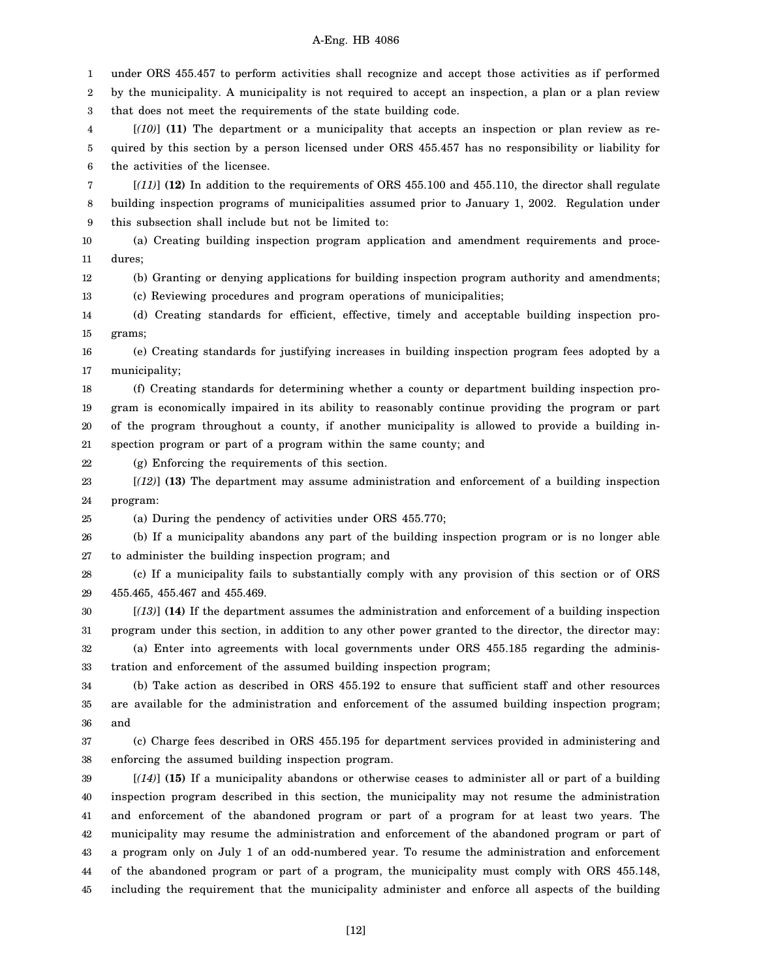1 2 3 4 5 6 7 8 9 10 11 12 13 14 15 16 17 18 19 20 21 22 23 24 25 26 27 28 29 30 31 32 33 34 35 36 37 38 39 40 41 42 43 44 45 under ORS 455.457 to perform activities shall recognize and accept those activities as if performed by the municipality. A municipality is not required to accept an inspection, a plan or a plan review that does not meet the requirements of the state building code. [*(10)*] **(11)** The department or a municipality that accepts an inspection or plan review as required by this section by a person licensed under ORS 455.457 has no responsibility or liability for the activities of the licensee. [*(11)*] **(12)** In addition to the requirements of ORS 455.100 and 455.110, the director shall regulate building inspection programs of municipalities assumed prior to January 1, 2002. Regulation under this subsection shall include but not be limited to: (a) Creating building inspection program application and amendment requirements and procedures; (b) Granting or denying applications for building inspection program authority and amendments; (c) Reviewing procedures and program operations of municipalities; (d) Creating standards for efficient, effective, timely and acceptable building inspection programs; (e) Creating standards for justifying increases in building inspection program fees adopted by a municipality; (f) Creating standards for determining whether a county or department building inspection program is economically impaired in its ability to reasonably continue providing the program or part of the program throughout a county, if another municipality is allowed to provide a building inspection program or part of a program within the same county; and (g) Enforcing the requirements of this section. [*(12)*] **(13)** The department may assume administration and enforcement of a building inspection program: (a) During the pendency of activities under ORS 455.770; (b) If a municipality abandons any part of the building inspection program or is no longer able to administer the building inspection program; and (c) If a municipality fails to substantially comply with any provision of this section or of ORS 455.465, 455.467 and 455.469. [*(13)*] **(14)** If the department assumes the administration and enforcement of a building inspection program under this section, in addition to any other power granted to the director, the director may: (a) Enter into agreements with local governments under ORS 455.185 regarding the administration and enforcement of the assumed building inspection program; (b) Take action as described in ORS 455.192 to ensure that sufficient staff and other resources are available for the administration and enforcement of the assumed building inspection program; and (c) Charge fees described in ORS 455.195 for department services provided in administering and enforcing the assumed building inspection program. [*(14)*] **(15)** If a municipality abandons or otherwise ceases to administer all or part of a building inspection program described in this section, the municipality may not resume the administration and enforcement of the abandoned program or part of a program for at least two years. The municipality may resume the administration and enforcement of the abandoned program or part of a program only on July 1 of an odd-numbered year. To resume the administration and enforcement of the abandoned program or part of a program, the municipality must comply with ORS 455.148, including the requirement that the municipality administer and enforce all aspects of the building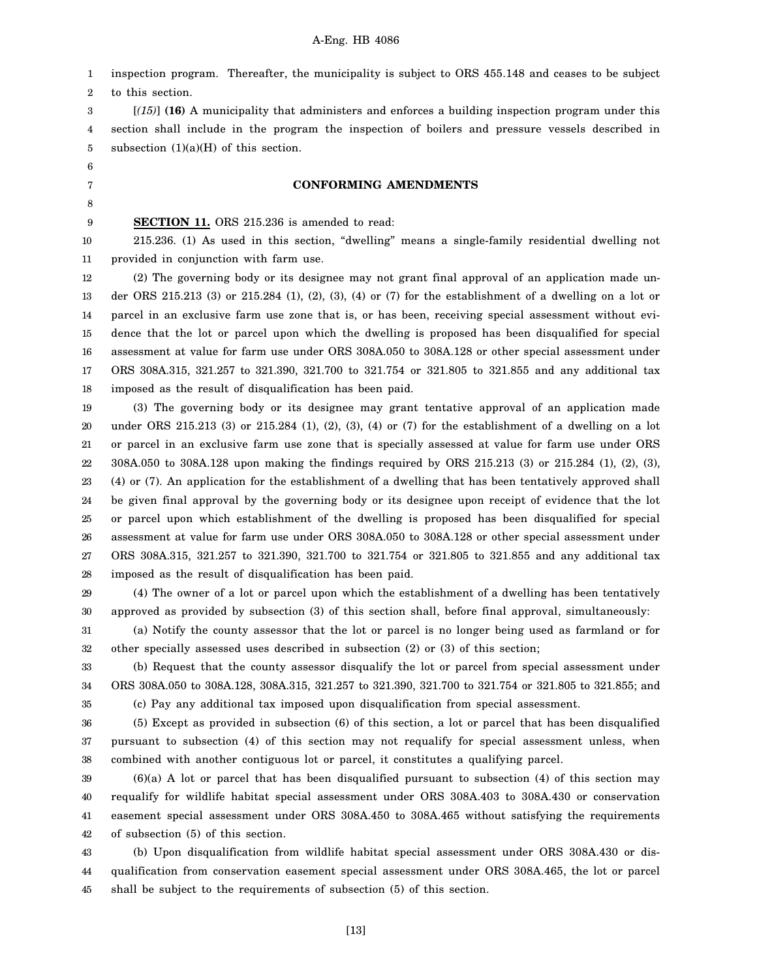1 2 inspection program. Thereafter, the municipality is subject to ORS 455.148 and ceases to be subject to this section.

3 4 5 [*(15)*] **(16)** A municipality that administers and enforces a building inspection program under this section shall include in the program the inspection of boilers and pressure vessels described in subsection  $(1)(a)(H)$  of this section.

#### **CONFORMING AMENDMENTS**

**SECTION 11.** ORS 215.236 is amended to read:

10 11 215.236. (1) As used in this section, "dwelling" means a single-family residential dwelling not provided in conjunction with farm use.

12 13 14 15 16 17 18 (2) The governing body or its designee may not grant final approval of an application made under ORS 215.213 (3) or 215.284 (1), (2), (3), (4) or (7) for the establishment of a dwelling on a lot or parcel in an exclusive farm use zone that is, or has been, receiving special assessment without evidence that the lot or parcel upon which the dwelling is proposed has been disqualified for special assessment at value for farm use under ORS 308A.050 to 308A.128 or other special assessment under ORS 308A.315, 321.257 to 321.390, 321.700 to 321.754 or 321.805 to 321.855 and any additional tax imposed as the result of disqualification has been paid.

19 20 21 22 23 24 25 26 27 28 (3) The governing body or its designee may grant tentative approval of an application made under ORS 215.213 (3) or 215.284 (1), (2), (3), (4) or (7) for the establishment of a dwelling on a lot or parcel in an exclusive farm use zone that is specially assessed at value for farm use under ORS 308A.050 to 308A.128 upon making the findings required by ORS 215.213 (3) or 215.284 (1), (2), (3), (4) or (7). An application for the establishment of a dwelling that has been tentatively approved shall be given final approval by the governing body or its designee upon receipt of evidence that the lot or parcel upon which establishment of the dwelling is proposed has been disqualified for special assessment at value for farm use under ORS 308A.050 to 308A.128 or other special assessment under ORS 308A.315, 321.257 to 321.390, 321.700 to 321.754 or 321.805 to 321.855 and any additional tax imposed as the result of disqualification has been paid.

29 30 (4) The owner of a lot or parcel upon which the establishment of a dwelling has been tentatively approved as provided by subsection (3) of this section shall, before final approval, simultaneously:

31 32 (a) Notify the county assessor that the lot or parcel is no longer being used as farmland or for other specially assessed uses described in subsection (2) or (3) of this section;

33 34 (b) Request that the county assessor disqualify the lot or parcel from special assessment under ORS 308A.050 to 308A.128, 308A.315, 321.257 to 321.390, 321.700 to 321.754 or 321.805 to 321.855; and (c) Pay any additional tax imposed upon disqualification from special assessment.

35

36 37 38 (5) Except as provided in subsection (6) of this section, a lot or parcel that has been disqualified pursuant to subsection (4) of this section may not requalify for special assessment unless, when combined with another contiguous lot or parcel, it constitutes a qualifying parcel.

39 40 41 42 (6)(a) A lot or parcel that has been disqualified pursuant to subsection (4) of this section may requalify for wildlife habitat special assessment under ORS 308A.403 to 308A.430 or conservation easement special assessment under ORS 308A.450 to 308A.465 without satisfying the requirements of subsection (5) of this section.

43 44 45 (b) Upon disqualification from wildlife habitat special assessment under ORS 308A.430 or disqualification from conservation easement special assessment under ORS 308A.465, the lot or parcel shall be subject to the requirements of subsection (5) of this section.

[13]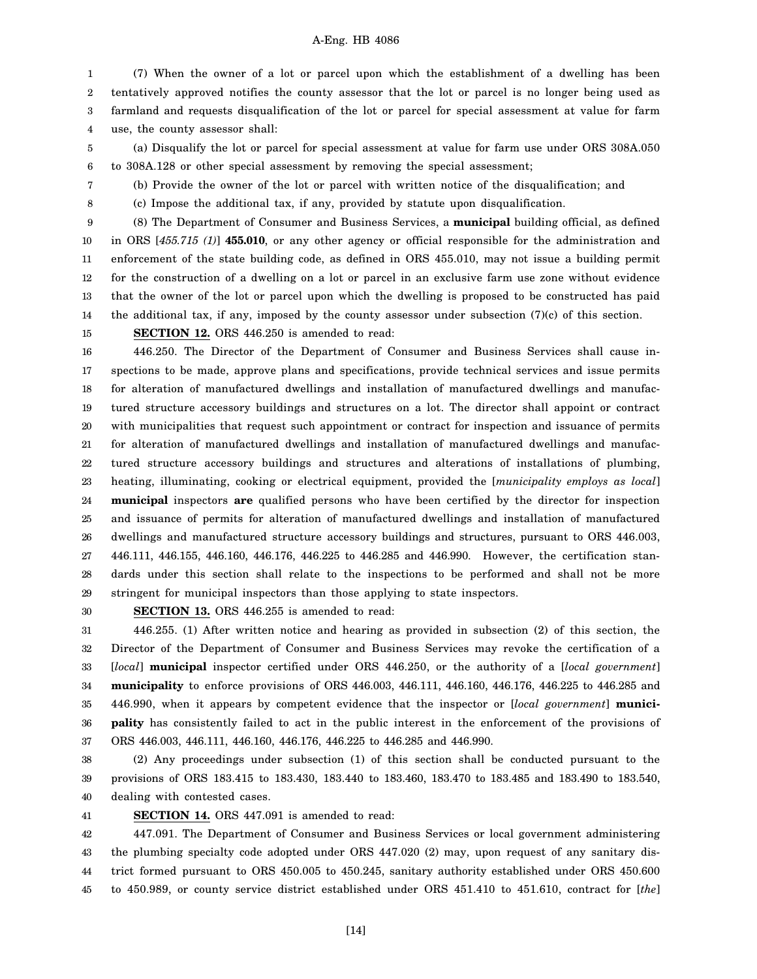1 2 3 4 (7) When the owner of a lot or parcel upon which the establishment of a dwelling has been tentatively approved notifies the county assessor that the lot or parcel is no longer being used as farmland and requests disqualification of the lot or parcel for special assessment at value for farm use, the county assessor shall:

- 5 6 (a) Disqualify the lot or parcel for special assessment at value for farm use under ORS 308A.050 to 308A.128 or other special assessment by removing the special assessment;
	- (b) Provide the owner of the lot or parcel with written notice of the disqualification; and
	- (c) Impose the additional tax, if any, provided by statute upon disqualification.

9 10 11 12 13 14 (8) The Department of Consumer and Business Services, a **municipal** building official, as defined in ORS [*455.715 (1)*] **455.010**, or any other agency or official responsible for the administration and enforcement of the state building code, as defined in ORS 455.010, may not issue a building permit for the construction of a dwelling on a lot or parcel in an exclusive farm use zone without evidence that the owner of the lot or parcel upon which the dwelling is proposed to be constructed has paid the additional tax, if any, imposed by the county assessor under subsection  $(7)(c)$  of this section.

15 **SECTION 12.** ORS 446.250 is amended to read:

16 17 18 19 20 21 22 23 24 25 26 27 28 29 446.250. The Director of the Department of Consumer and Business Services shall cause inspections to be made, approve plans and specifications, provide technical services and issue permits for alteration of manufactured dwellings and installation of manufactured dwellings and manufactured structure accessory buildings and structures on a lot. The director shall appoint or contract with municipalities that request such appointment or contract for inspection and issuance of permits for alteration of manufactured dwellings and installation of manufactured dwellings and manufactured structure accessory buildings and structures and alterations of installations of plumbing, heating, illuminating, cooking or electrical equipment, provided the [*municipality employs as local*] **municipal** inspectors **are** qualified persons who have been certified by the director for inspection and issuance of permits for alteration of manufactured dwellings and installation of manufactured dwellings and manufactured structure accessory buildings and structures, pursuant to ORS 446.003, 446.111, 446.155, 446.160, 446.176, 446.225 to 446.285 and 446.990. However, the certification standards under this section shall relate to the inspections to be performed and shall not be more stringent for municipal inspectors than those applying to state inspectors.

30

7 8

**SECTION 13.** ORS 446.255 is amended to read:

31 32 33 34 35 36 37 446.255. (1) After written notice and hearing as provided in subsection (2) of this section, the Director of the Department of Consumer and Business Services may revoke the certification of a [*local*] **municipal** inspector certified under ORS 446.250, or the authority of a [*local government*] **municipality** to enforce provisions of ORS 446.003, 446.111, 446.160, 446.176, 446.225 to 446.285 and 446.990, when it appears by competent evidence that the inspector or [*local government*] **municipality** has consistently failed to act in the public interest in the enforcement of the provisions of ORS 446.003, 446.111, 446.160, 446.176, 446.225 to 446.285 and 446.990.

38 39 40 (2) Any proceedings under subsection (1) of this section shall be conducted pursuant to the provisions of ORS 183.415 to 183.430, 183.440 to 183.460, 183.470 to 183.485 and 183.490 to 183.540, dealing with contested cases.

41

**SECTION 14.** ORS 447.091 is amended to read:

42 43 44 45 447.091. The Department of Consumer and Business Services or local government administering the plumbing specialty code adopted under ORS 447.020 (2) may, upon request of any sanitary district formed pursuant to ORS 450.005 to 450.245, sanitary authority established under ORS 450.600 to 450.989, or county service district established under ORS 451.410 to 451.610, contract for [*the*]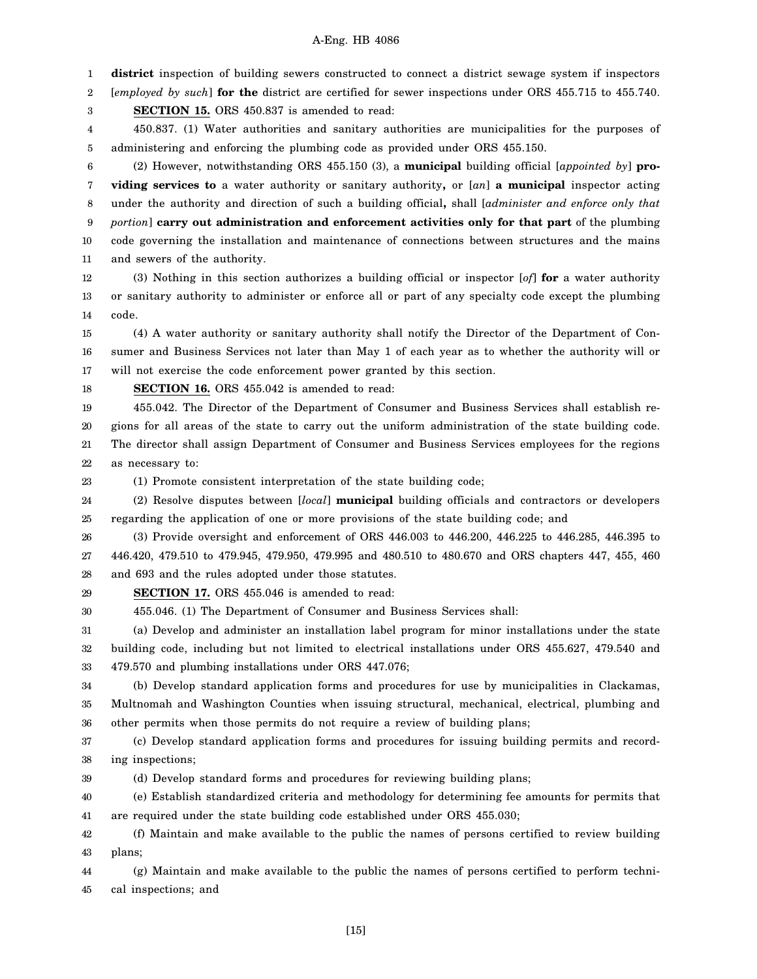1 **district** inspection of building sewers constructed to connect a district sewage system if inspectors

2 [*employed by such*] **for the** district are certified for sewer inspections under ORS 455.715 to 455.740.

3 **SECTION 15.** ORS 450.837 is amended to read:

4 5 450.837. (1) Water authorities and sanitary authorities are municipalities for the purposes of administering and enforcing the plumbing code as provided under ORS 455.150.

6 7 8 9 10 11 (2) However, notwithstanding ORS 455.150 (3), a **municipal** building official [*appointed by*] **providing services to** a water authority or sanitary authority**,** or [*an*] **a municipal** inspector acting under the authority and direction of such a building official**,** shall [*administer and enforce only that portion*] **carry out administration and enforcement activities only for that part** of the plumbing code governing the installation and maintenance of connections between structures and the mains and sewers of the authority.

12 13 14 (3) Nothing in this section authorizes a building official or inspector [*of*] **for** a water authority or sanitary authority to administer or enforce all or part of any specialty code except the plumbing code.

15 16 17 (4) A water authority or sanitary authority shall notify the Director of the Department of Consumer and Business Services not later than May 1 of each year as to whether the authority will or will not exercise the code enforcement power granted by this section.

18 **SECTION 16.** ORS 455.042 is amended to read:

19 20 21 22 455.042. The Director of the Department of Consumer and Business Services shall establish regions for all areas of the state to carry out the uniform administration of the state building code. The director shall assign Department of Consumer and Business Services employees for the regions as necessary to:

23

(1) Promote consistent interpretation of the state building code;

24 25 (2) Resolve disputes between [*local*] **municipal** building officials and contractors or developers regarding the application of one or more provisions of the state building code; and

26 27 28 (3) Provide oversight and enforcement of ORS 446.003 to 446.200, 446.225 to 446.285, 446.395 to 446.420, 479.510 to 479.945, 479.950, 479.995 and 480.510 to 480.670 and ORS chapters 447, 455, 460 and 693 and the rules adopted under those statutes.

29 **SECTION 17.** ORS 455.046 is amended to read:

30 455.046. (1) The Department of Consumer and Business Services shall:

31 32 33 (a) Develop and administer an installation label program for minor installations under the state building code, including but not limited to electrical installations under ORS 455.627, 479.540 and 479.570 and plumbing installations under ORS 447.076;

34 35 36 (b) Develop standard application forms and procedures for use by municipalities in Clackamas, Multnomah and Washington Counties when issuing structural, mechanical, electrical, plumbing and other permits when those permits do not require a review of building plans;

37 38 (c) Develop standard application forms and procedures for issuing building permits and recording inspections;

39 (d) Develop standard forms and procedures for reviewing building plans;

40 41 (e) Establish standardized criteria and methodology for determining fee amounts for permits that are required under the state building code established under ORS 455.030;

42 43 (f) Maintain and make available to the public the names of persons certified to review building plans;

44 45 (g) Maintain and make available to the public the names of persons certified to perform technical inspections; and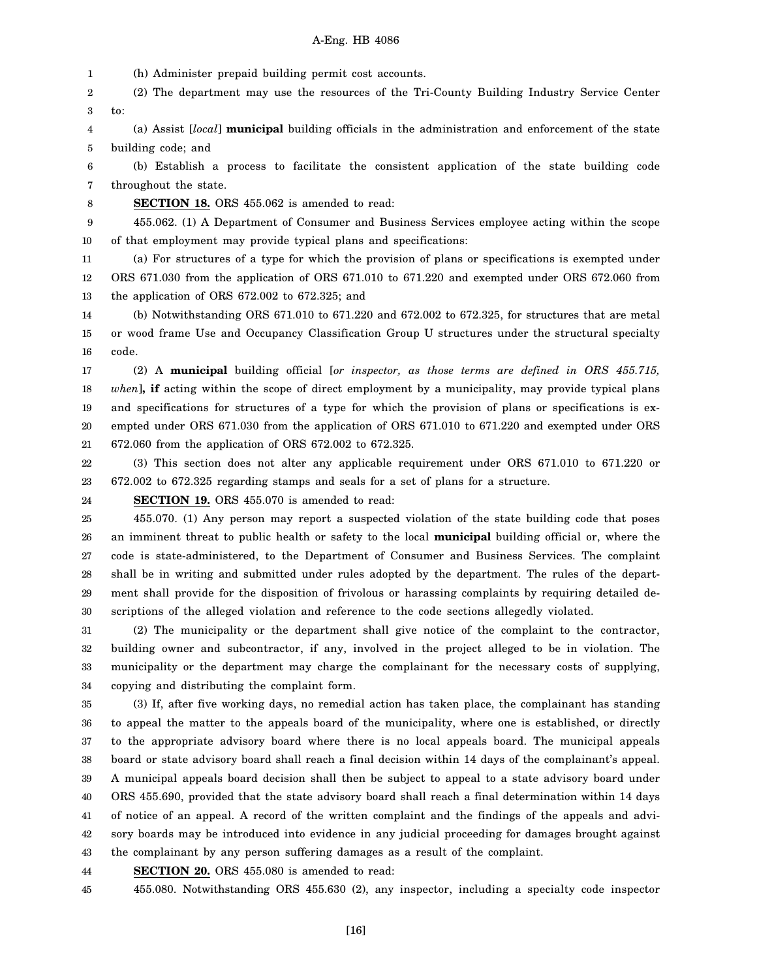1 (h) Administer prepaid building permit cost accounts.

2 3 (2) The department may use the resources of the Tri-County Building Industry Service Center to:

4 5 (a) Assist [*local*] **municipal** building officials in the administration and enforcement of the state building code; and

6 7 (b) Establish a process to facilitate the consistent application of the state building code throughout the state.

8

**SECTION 18.** ORS 455.062 is amended to read:

9 10 455.062. (1) A Department of Consumer and Business Services employee acting within the scope of that employment may provide typical plans and specifications:

11 12 13 (a) For structures of a type for which the provision of plans or specifications is exempted under ORS 671.030 from the application of ORS 671.010 to 671.220 and exempted under ORS 672.060 from the application of ORS 672.002 to 672.325; and

14 15 16 (b) Notwithstanding ORS 671.010 to 671.220 and 672.002 to 672.325, for structures that are metal or wood frame Use and Occupancy Classification Group U structures under the structural specialty code.

17 18 19 20 21 (2) A **municipal** building official [*or inspector, as those terms are defined in ORS 455.715, when*]**, if** acting within the scope of direct employment by a municipality, may provide typical plans and specifications for structures of a type for which the provision of plans or specifications is exempted under ORS 671.030 from the application of ORS 671.010 to 671.220 and exempted under ORS 672.060 from the application of ORS 672.002 to 672.325.

22 23 (3) This section does not alter any applicable requirement under ORS 671.010 to 671.220 or 672.002 to 672.325 regarding stamps and seals for a set of plans for a structure.

24 **SECTION 19.** ORS 455.070 is amended to read:

25 26 27 28 29 30 455.070. (1) Any person may report a suspected violation of the state building code that poses an imminent threat to public health or safety to the local **municipal** building official or, where the code is state-administered, to the Department of Consumer and Business Services. The complaint shall be in writing and submitted under rules adopted by the department. The rules of the department shall provide for the disposition of frivolous or harassing complaints by requiring detailed descriptions of the alleged violation and reference to the code sections allegedly violated.

31 32 33 34 (2) The municipality or the department shall give notice of the complaint to the contractor, building owner and subcontractor, if any, involved in the project alleged to be in violation. The municipality or the department may charge the complainant for the necessary costs of supplying, copying and distributing the complaint form.

35 36 37 38 39 40 41 42 43 (3) If, after five working days, no remedial action has taken place, the complainant has standing to appeal the matter to the appeals board of the municipality, where one is established, or directly to the appropriate advisory board where there is no local appeals board. The municipal appeals board or state advisory board shall reach a final decision within 14 days of the complainant's appeal. A municipal appeals board decision shall then be subject to appeal to a state advisory board under ORS 455.690, provided that the state advisory board shall reach a final determination within 14 days of notice of an appeal. A record of the written complaint and the findings of the appeals and advisory boards may be introduced into evidence in any judicial proceeding for damages brought against the complainant by any person suffering damages as a result of the complaint.

44 **SECTION 20.** ORS 455.080 is amended to read:

45 455.080. Notwithstanding ORS 455.630 (2), any inspector, including a specialty code inspector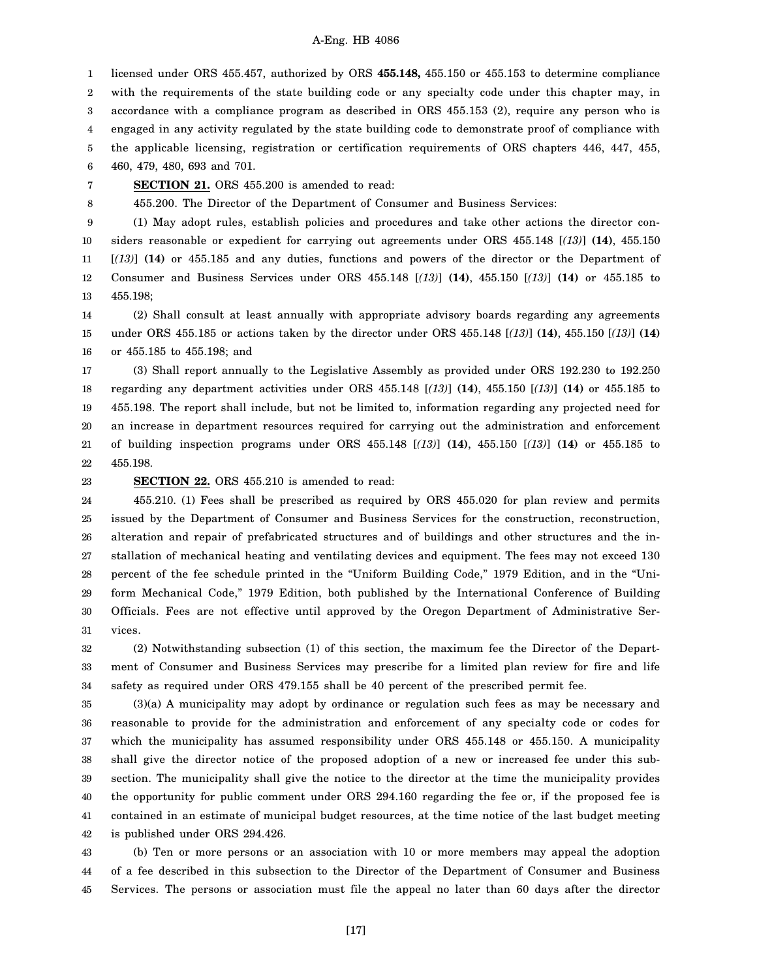1 2 3 4 5 6 licensed under ORS 455.457, authorized by ORS **455.148,** 455.150 or 455.153 to determine compliance with the requirements of the state building code or any specialty code under this chapter may, in accordance with a compliance program as described in ORS 455.153 (2), require any person who is engaged in any activity regulated by the state building code to demonstrate proof of compliance with the applicable licensing, registration or certification requirements of ORS chapters 446, 447, 455, 460, 479, 480, 693 and 701.

7 **SECTION 21.** ORS 455.200 is amended to read:

455.200. The Director of the Department of Consumer and Business Services:

9 10 11 12 13 (1) May adopt rules, establish policies and procedures and take other actions the director considers reasonable or expedient for carrying out agreements under ORS 455.148 [*(13)*] **(14)**, 455.150 [*(13)*] **(14)** or 455.185 and any duties, functions and powers of the director or the Department of Consumer and Business Services under ORS 455.148 [*(13)*] **(14)**, 455.150 [*(13)*] **(14)** or 455.185 to 455.198;

14 15 16 (2) Shall consult at least annually with appropriate advisory boards regarding any agreements under ORS 455.185 or actions taken by the director under ORS 455.148 [*(13)*] **(14)**, 455.150 [*(13)*] **(14)** or 455.185 to 455.198; and

17 18 19 20 21 22 (3) Shall report annually to the Legislative Assembly as provided under ORS 192.230 to 192.250 regarding any department activities under ORS 455.148 [*(13)*] **(14)**, 455.150 [*(13)*] **(14)** or 455.185 to 455.198. The report shall include, but not be limited to, information regarding any projected need for an increase in department resources required for carrying out the administration and enforcement of building inspection programs under ORS 455.148 [*(13)*] **(14)**, 455.150 [*(13)*] **(14)** or 455.185 to 455.198.

23

8

# **SECTION 22.** ORS 455.210 is amended to read:

24 25 26 27 28 29 30 31 455.210. (1) Fees shall be prescribed as required by ORS 455.020 for plan review and permits issued by the Department of Consumer and Business Services for the construction, reconstruction, alteration and repair of prefabricated structures and of buildings and other structures and the installation of mechanical heating and ventilating devices and equipment. The fees may not exceed 130 percent of the fee schedule printed in the "Uniform Building Code," 1979 Edition, and in the "Uniform Mechanical Code," 1979 Edition, both published by the International Conference of Building Officials. Fees are not effective until approved by the Oregon Department of Administrative Services.

32 33 34 (2) Notwithstanding subsection (1) of this section, the maximum fee the Director of the Department of Consumer and Business Services may prescribe for a limited plan review for fire and life safety as required under ORS 479.155 shall be 40 percent of the prescribed permit fee.

35 36 37 38 39 40 41 42 (3)(a) A municipality may adopt by ordinance or regulation such fees as may be necessary and reasonable to provide for the administration and enforcement of any specialty code or codes for which the municipality has assumed responsibility under ORS 455.148 or 455.150. A municipality shall give the director notice of the proposed adoption of a new or increased fee under this subsection. The municipality shall give the notice to the director at the time the municipality provides the opportunity for public comment under ORS 294.160 regarding the fee or, if the proposed fee is contained in an estimate of municipal budget resources, at the time notice of the last budget meeting is published under ORS 294.426.

43 44 45 (b) Ten or more persons or an association with 10 or more members may appeal the adoption of a fee described in this subsection to the Director of the Department of Consumer and Business Services. The persons or association must file the appeal no later than 60 days after the director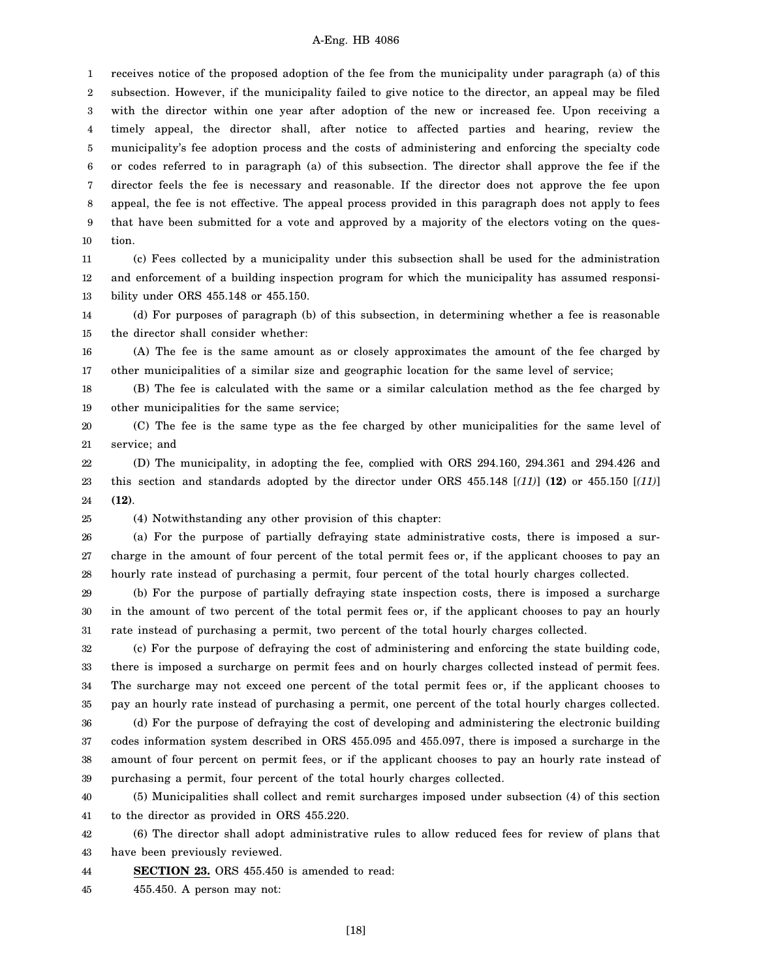1 2 3 4 5 6 7 8 9 10 receives notice of the proposed adoption of the fee from the municipality under paragraph (a) of this subsection. However, if the municipality failed to give notice to the director, an appeal may be filed with the director within one year after adoption of the new or increased fee. Upon receiving a timely appeal, the director shall, after notice to affected parties and hearing, review the municipality's fee adoption process and the costs of administering and enforcing the specialty code or codes referred to in paragraph (a) of this subsection. The director shall approve the fee if the director feels the fee is necessary and reasonable. If the director does not approve the fee upon appeal, the fee is not effective. The appeal process provided in this paragraph does not apply to fees that have been submitted for a vote and approved by a majority of the electors voting on the question.

11 12 13 (c) Fees collected by a municipality under this subsection shall be used for the administration and enforcement of a building inspection program for which the municipality has assumed responsibility under ORS 455.148 or 455.150.

14 15 (d) For purposes of paragraph (b) of this subsection, in determining whether a fee is reasonable the director shall consider whether:

16 17 (A) The fee is the same amount as or closely approximates the amount of the fee charged by other municipalities of a similar size and geographic location for the same level of service;

18 19 (B) The fee is calculated with the same or a similar calculation method as the fee charged by other municipalities for the same service;

20 21 (C) The fee is the same type as the fee charged by other municipalities for the same level of service; and

22 23 24 (D) The municipality, in adopting the fee, complied with ORS 294.160, 294.361 and 294.426 and this section and standards adopted by the director under ORS 455.148 [*(11)*] **(12)** or 455.150 [*(11)*] **(12)**.

(4) Notwithstanding any other provision of this chapter:

25

26 27 28 (a) For the purpose of partially defraying state administrative costs, there is imposed a surcharge in the amount of four percent of the total permit fees or, if the applicant chooses to pay an hourly rate instead of purchasing a permit, four percent of the total hourly charges collected.

29 30 31 (b) For the purpose of partially defraying state inspection costs, there is imposed a surcharge in the amount of two percent of the total permit fees or, if the applicant chooses to pay an hourly rate instead of purchasing a permit, two percent of the total hourly charges collected.

32 33 34 35 (c) For the purpose of defraying the cost of administering and enforcing the state building code, there is imposed a surcharge on permit fees and on hourly charges collected instead of permit fees. The surcharge may not exceed one percent of the total permit fees or, if the applicant chooses to pay an hourly rate instead of purchasing a permit, one percent of the total hourly charges collected.

36 37 38 39 (d) For the purpose of defraying the cost of developing and administering the electronic building codes information system described in ORS 455.095 and 455.097, there is imposed a surcharge in the amount of four percent on permit fees, or if the applicant chooses to pay an hourly rate instead of purchasing a permit, four percent of the total hourly charges collected.

40 41 (5) Municipalities shall collect and remit surcharges imposed under subsection (4) of this section to the director as provided in ORS 455.220.

42 43 (6) The director shall adopt administrative rules to allow reduced fees for review of plans that have been previously reviewed.

44 **SECTION 23.** ORS 455.450 is amended to read:

45 455.450. A person may not: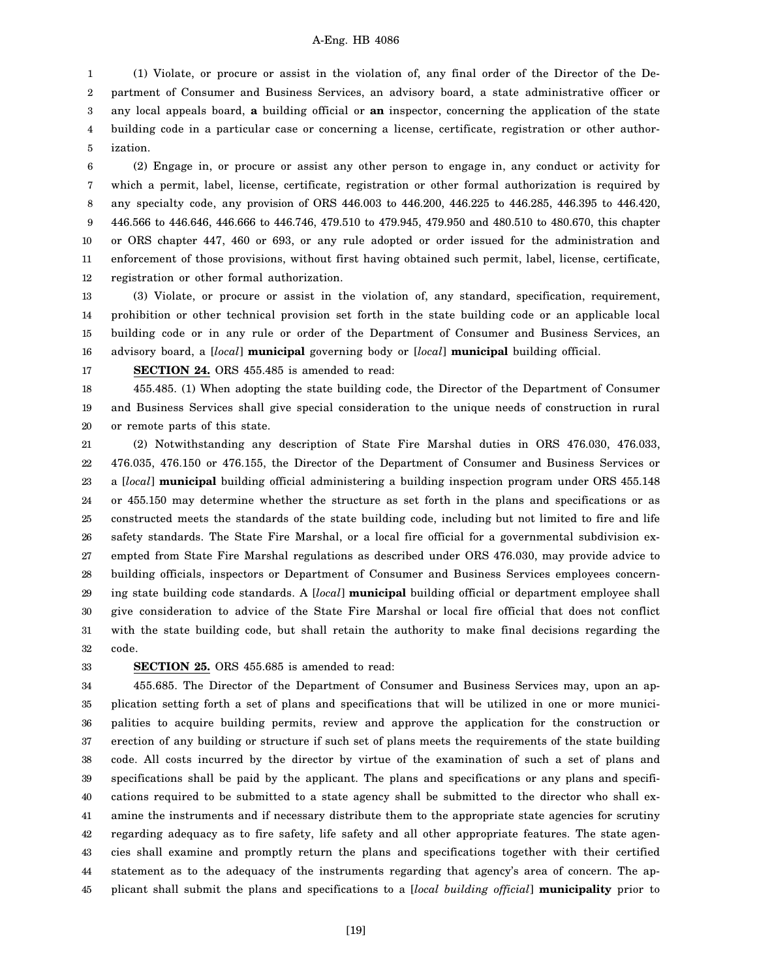1 2 3 4 5 (1) Violate, or procure or assist in the violation of, any final order of the Director of the Department of Consumer and Business Services, an advisory board, a state administrative officer or any local appeals board, **a** building official or **an** inspector, concerning the application of the state building code in a particular case or concerning a license, certificate, registration or other authorization.

6 7 8 9 10 11 12 (2) Engage in, or procure or assist any other person to engage in, any conduct or activity for which a permit, label, license, certificate, registration or other formal authorization is required by any specialty code, any provision of ORS 446.003 to 446.200, 446.225 to 446.285, 446.395 to 446.420, 446.566 to 446.646, 446.666 to 446.746, 479.510 to 479.945, 479.950 and 480.510 to 480.670, this chapter or ORS chapter 447, 460 or 693, or any rule adopted or order issued for the administration and enforcement of those provisions, without first having obtained such permit, label, license, certificate, registration or other formal authorization.

13 14 15 16 (3) Violate, or procure or assist in the violation of, any standard, specification, requirement, prohibition or other technical provision set forth in the state building code or an applicable local building code or in any rule or order of the Department of Consumer and Business Services, an advisory board, a [*local*] **municipal** governing body or [*local*] **municipal** building official.

17

**SECTION 24.** ORS 455.485 is amended to read:

18 19 20 455.485. (1) When adopting the state building code, the Director of the Department of Consumer and Business Services shall give special consideration to the unique needs of construction in rural or remote parts of this state.

21 22 23 24 25 26 27 28 29 30 31 32 (2) Notwithstanding any description of State Fire Marshal duties in ORS 476.030, 476.033, 476.035, 476.150 or 476.155, the Director of the Department of Consumer and Business Services or a [*local*] **municipal** building official administering a building inspection program under ORS 455.148 or 455.150 may determine whether the structure as set forth in the plans and specifications or as constructed meets the standards of the state building code, including but not limited to fire and life safety standards. The State Fire Marshal, or a local fire official for a governmental subdivision exempted from State Fire Marshal regulations as described under ORS 476.030, may provide advice to building officials, inspectors or Department of Consumer and Business Services employees concerning state building code standards. A [*local*] **municipal** building official or department employee shall give consideration to advice of the State Fire Marshal or local fire official that does not conflict with the state building code, but shall retain the authority to make final decisions regarding the code.

33

# **SECTION 25.** ORS 455.685 is amended to read:

34 35 36 37 38 39 40 41 42 43 44 45 455.685. The Director of the Department of Consumer and Business Services may, upon an application setting forth a set of plans and specifications that will be utilized in one or more municipalities to acquire building permits, review and approve the application for the construction or erection of any building or structure if such set of plans meets the requirements of the state building code. All costs incurred by the director by virtue of the examination of such a set of plans and specifications shall be paid by the applicant. The plans and specifications or any plans and specifications required to be submitted to a state agency shall be submitted to the director who shall examine the instruments and if necessary distribute them to the appropriate state agencies for scrutiny regarding adequacy as to fire safety, life safety and all other appropriate features. The state agencies shall examine and promptly return the plans and specifications together with their certified statement as to the adequacy of the instruments regarding that agency's area of concern. The applicant shall submit the plans and specifications to a [*local building official*] **municipality** prior to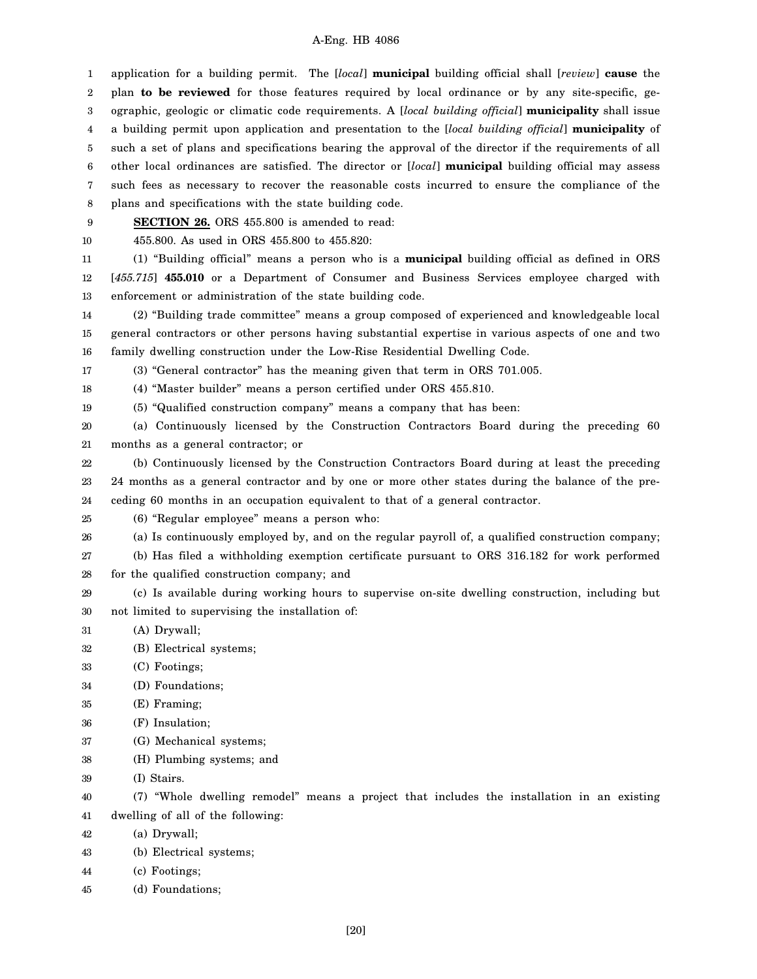1 2 3 4 5 6 7 8 9 10 11 12 13 14 15 16 17 18 19 20 21 22 23 24 25 26 27 28 29 30 31 32 33 34 35 36 37 38 39 40 41 42 43 44 45 application for a building permit. The [*local*] **municipal** building official shall [*review*] **cause** the plan **to be reviewed** for those features required by local ordinance or by any site-specific, geographic, geologic or climatic code requirements. A [*local building official*] **municipality** shall issue a building permit upon application and presentation to the [*local building official*] **municipality** of such a set of plans and specifications bearing the approval of the director if the requirements of all other local ordinances are satisfied. The director or [*local*] **municipal** building official may assess such fees as necessary to recover the reasonable costs incurred to ensure the compliance of the plans and specifications with the state building code. **SECTION 26.** ORS 455.800 is amended to read: 455.800. As used in ORS 455.800 to 455.820: (1) "Building official" means a person who is a **municipal** building official as defined in ORS [*455.715*] **455.010** or a Department of Consumer and Business Services employee charged with enforcement or administration of the state building code. (2) "Building trade committee" means a group composed of experienced and knowledgeable local general contractors or other persons having substantial expertise in various aspects of one and two family dwelling construction under the Low-Rise Residential Dwelling Code. (3) "General contractor" has the meaning given that term in ORS 701.005. (4) "Master builder" means a person certified under ORS 455.810. (5) "Qualified construction company" means a company that has been: (a) Continuously licensed by the Construction Contractors Board during the preceding 60 months as a general contractor; or (b) Continuously licensed by the Construction Contractors Board during at least the preceding 24 months as a general contractor and by one or more other states during the balance of the preceding 60 months in an occupation equivalent to that of a general contractor. (6) "Regular employee" means a person who: (a) Is continuously employed by, and on the regular payroll of, a qualified construction company; (b) Has filed a withholding exemption certificate pursuant to ORS 316.182 for work performed for the qualified construction company; and (c) Is available during working hours to supervise on-site dwelling construction, including but not limited to supervising the installation of: (A) Drywall; (B) Electrical systems; (C) Footings; (D) Foundations; (E) Framing; (F) Insulation; (G) Mechanical systems; (H) Plumbing systems; and (I) Stairs. (7) "Whole dwelling remodel" means a project that includes the installation in an existing dwelling of all of the following: (a) Drywall; (b) Electrical systems; (c) Footings; (d) Foundations;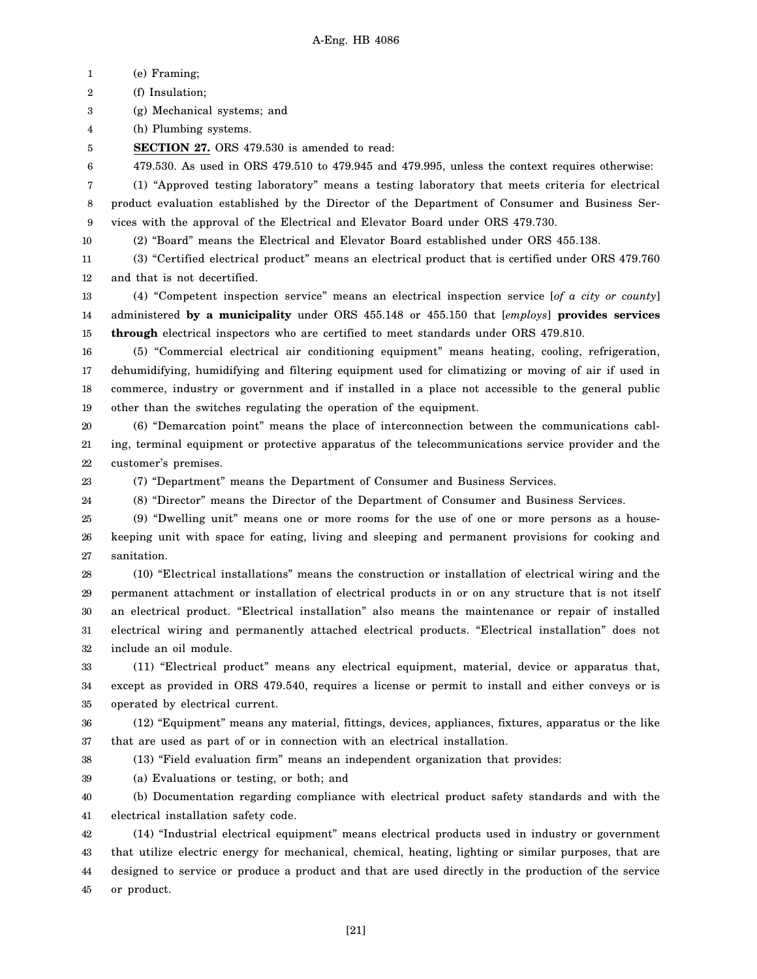1 (e) Framing;

2 (f) Insulation;

3 (g) Mechanical systems; and

4 (h) Plumbing systems.

5 **SECTION 27.** ORS 479.530 is amended to read:

6 479.530. As used in ORS 479.510 to 479.945 and 479.995, unless the context requires otherwise:

7 8 9 (1) "Approved testing laboratory" means a testing laboratory that meets criteria for electrical product evaluation established by the Director of the Department of Consumer and Business Services with the approval of the Electrical and Elevator Board under ORS 479.730.

10 (2) "Board" means the Electrical and Elevator Board established under ORS 455.138.

11 12 (3) "Certified electrical product" means an electrical product that is certified under ORS 479.760 and that is not decertified.

13 14 15 (4) "Competent inspection service" means an electrical inspection service [*of a city or county*] administered **by a municipality** under ORS 455.148 or 455.150 that [*employs*] **provides services through** electrical inspectors who are certified to meet standards under ORS 479.810.

16 17 18 19 (5) "Commercial electrical air conditioning equipment" means heating, cooling, refrigeration, dehumidifying, humidifying and filtering equipment used for climatizing or moving of air if used in commerce, industry or government and if installed in a place not accessible to the general public other than the switches regulating the operation of the equipment.

20 21 22 (6) "Demarcation point" means the place of interconnection between the communications cabling, terminal equipment or protective apparatus of the telecommunications service provider and the customer's premises.

23 24 (7) "Department" means the Department of Consumer and Business Services.

(8) "Director" means the Director of the Department of Consumer and Business Services.

25 26 27 (9) "Dwelling unit" means one or more rooms for the use of one or more persons as a housekeeping unit with space for eating, living and sleeping and permanent provisions for cooking and sanitation.

28 29 30 31 32 (10) "Electrical installations" means the construction or installation of electrical wiring and the permanent attachment or installation of electrical products in or on any structure that is not itself an electrical product. "Electrical installation" also means the maintenance or repair of installed electrical wiring and permanently attached electrical products. "Electrical installation" does not include an oil module.

33 34 35 (11) "Electrical product" means any electrical equipment, material, device or apparatus that, except as provided in ORS 479.540, requires a license or permit to install and either conveys or is operated by electrical current.

36 37 (12) "Equipment" means any material, fittings, devices, appliances, fixtures, apparatus or the like that are used as part of or in connection with an electrical installation.

38

(13) "Field evaluation firm" means an independent organization that provides:

39 (a) Evaluations or testing, or both; and

40 41 (b) Documentation regarding compliance with electrical product safety standards and with the electrical installation safety code.

42 43 44 45 (14) "Industrial electrical equipment" means electrical products used in industry or government that utilize electric energy for mechanical, chemical, heating, lighting or similar purposes, that are designed to service or produce a product and that are used directly in the production of the service or product.